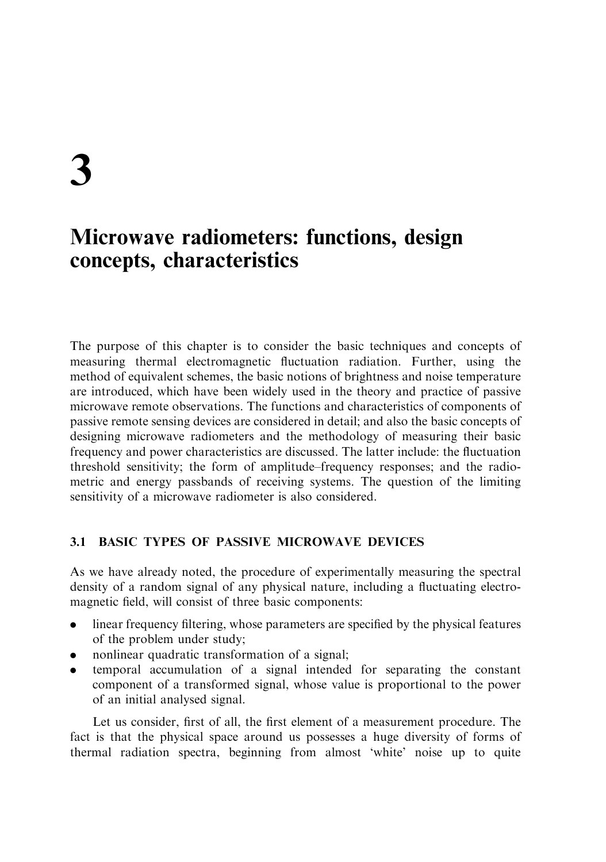# Microwave radiometers: functions, design concepts, characteristics

The purpose of this chapter is to consider the basic techniques and concepts of measuring thermal electromagnetic fluctuation radiation. Further, using the method of equivalent schemes, the basic notions of brightness and noise temperature are introduced, which have been widely used in the theory and practice of passive microwave remote observations. The functions and characteristics of components of passive remote sensing devices are considered in detail; and also the basic concepts of designing microwave radiometers and the methodology of measuring their basic frequency and power characteristics are discussed. The latter include: the fluctuation threshold sensitivity; the form of amplitude–frequency responses; and the radiometric and energy passbands of receiving systems. The question of the limiting sensitivity of a microwave radiometer is also considered.

#### **BASIC TYPES OF PASSIVE MICROWAVE DEVICES**  $3.1$

As we have already noted, the procedure of experimentally measuring the spectral density of a random signal of any physical nature, including a fluctuating electromagnetic field, will consist of three basic components:

- linear frequency filtering, whose parameters are specified by the physical features of the problem under study:
- nonlinear quadratic transformation of a signal:
- temporal accumulation of a signal intended for separating the constant component of a transformed signal, whose value is proportional to the power of an initial analysed signal.

Let us consider, first of all, the first element of a measurement procedure. The fact is that the physical space around us possesses a huge diversity of forms of thermal radiation spectra, beginning from almost 'white' noise up to quite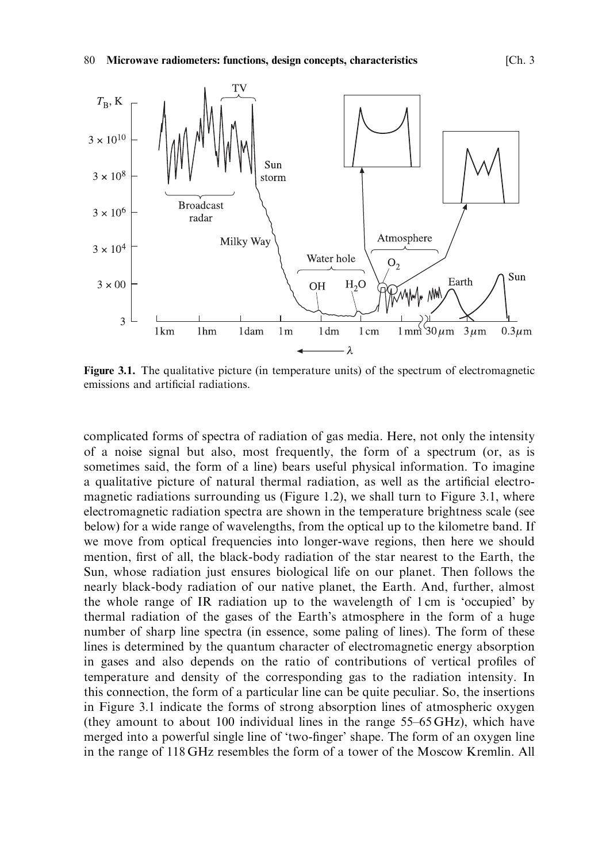

Figure 3.1. The qualitative picture (in temperature units) of the spectrum of electromagnetic emissions and artificial radiations.

complicated forms of spectra of radiation of gas media. Here, not only the intensity of a noise signal but also, most frequently, the form of a spectrum (or, as is sometimes said, the form of a line) bears useful physical information. To imagine a qualitative picture of natural thermal radiation, as well as the artificial electromagnetic radiations surrounding us (Figure 1.2), we shall turn to Figure 3.1, where electromagnetic radiation spectra are shown in the temperature brightness scale (see below) for a wide range of wavelengths, from the optical up to the kilometre band. If we move from optical frequencies into longer-wave regions, then here we should mention, first of all, the black-body radiation of the star nearest to the Earth, the Sun, whose radiation just ensures biological life on our planet. Then follows the nearly black-body radiation of our native planet, the Earth. And, further, almost the whole range of IR radiation up to the wavelength of 1 cm is 'occupied' by thermal radiation of the gases of the Earth's atmosphere in the form of a huge number of sharp line spectra (in essence, some paling of lines). The form of these lines is determined by the quantum character of electromagnetic energy absorption in gases and also depends on the ratio of contributions of vertical profiles of temperature and density of the corresponding gas to the radiation intensity. In this connection, the form of a particular line can be quite peculiar. So, the insertions in Figure 3.1 indicate the forms of strong absorption lines of atmospheric oxygen (they amount to about 100 individual lines in the range 55–65 GHz), which have merged into a powerful single line of 'two-finger' shape. The form of an oxygen line in the range of 118 GHz resembles the form of a tower of the Moscow Kremlin. All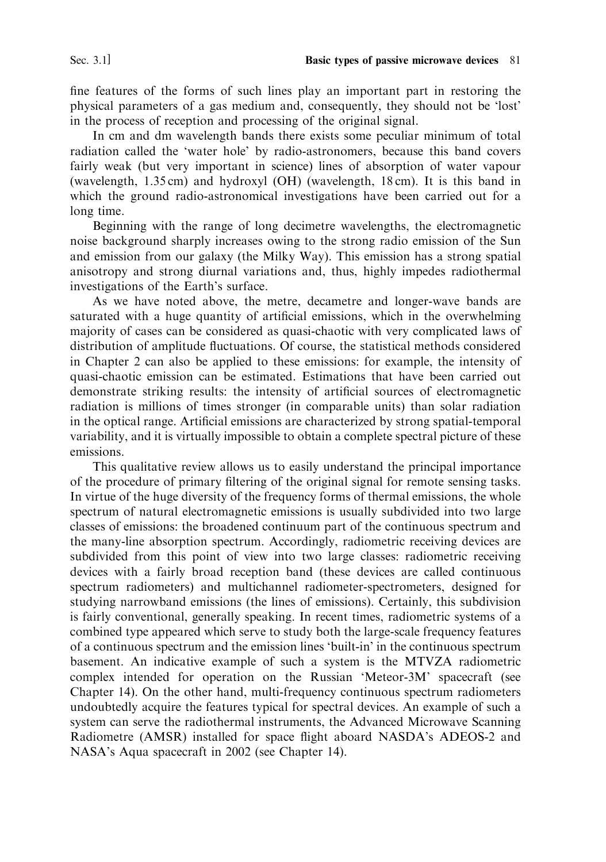fine features of the forms of such lines play an important part in restoring the physical parameters of a gas medium and, consequently, they should not be 'lost' in the process of reception and processing of the original signal.

In cm and dm wavelength bands there exists some peculiar minimum of total radiation called the 'water hole' by radio-astronomers, because this band covers fairly weak (but very important in science) lines of absorption of water vapour (wavelength, 1.35cm) and hydroxyl (OH) (wavelength, 18cm). It is this band in which the ground radio-astronomical investigations have been carried out for a long time.

Beginning with the range of long decimetre wavelengths, the electromagnetic noise background sharply increases owing to the strong radio emission of the Sun and emission from our galaxy (the Milky Way). This emission has a strong spatial anisotropy and strong diurnal variations and, thus, highly impedes radiothermal investigations of the Earth's surface.

As we have noted above, the metre, decametre and longer-wave bands are saturated with a huge quantity of artificial emissions, which in the overwhelming majority of cases can be considered as quasi-chaotic with very complicated laws of distribution of amplitude fluctuations. Of course, the statistical methods considered in Chapter 2 can also be applied to these emissions: for example, the intensity of quasi-chaotic emission can be estimated. Estimations that have been carried out demonstrate striking results: the intensity of artificial sources of electromagnetic radiation is millions of times stronger (in comparable units) than solar radiation in the optical range. Artificial emissions are characterized by strong spatial-temporal variability, and it is virtually impossible to obtain a complete spectral picture of these emissions.

This qualitative review allows us to easily understand the principal importance of the procedure of primary filtering of the original signal for remote sensing tasks. In virtue of the huge diversity of the frequency forms of thermal emissions, the whole spectrum of natural electromagnetic emissions is usually subdivided into two large classes of emissions: the broadened continuum part of the continuous spectrum and the many-line absorption spectrum. Accordingly, radiometric receiving devices are subdivided from this point of view into two large classes: radiometric receiving devices with a fairly broad reception band (these devices are called continuous spectrum radiometers) and multichannel radiometer-spectrometers, designed for studying narrowband emissions (the lines of emissions). Certainly, this subdivision is fairly conventional, generally speaking. In recent times, radiometric systems of a combined type appeared which serve to study both the large-scale frequency features of a continuous spectrum and the emission lines 'built-in' in the continuous spectrum basement. An indicative example of such a system is the MTVZA radiometric complex intended for operation on the Russian 'Meteor-3M' spacecraft (see Chapter 14). On the other hand, multi-frequency continuous spectrum radiometers undoubtedly acquire the features typical for spectral devices. An example of such a system can serve the radiothermal instruments, the Advanced Microwave Scanning Radiometre (AMSR) installed for space flight aboard NASDA's ADEOS-2 and NASA's Aqua spacecraft in 2002 (see Chapter 14).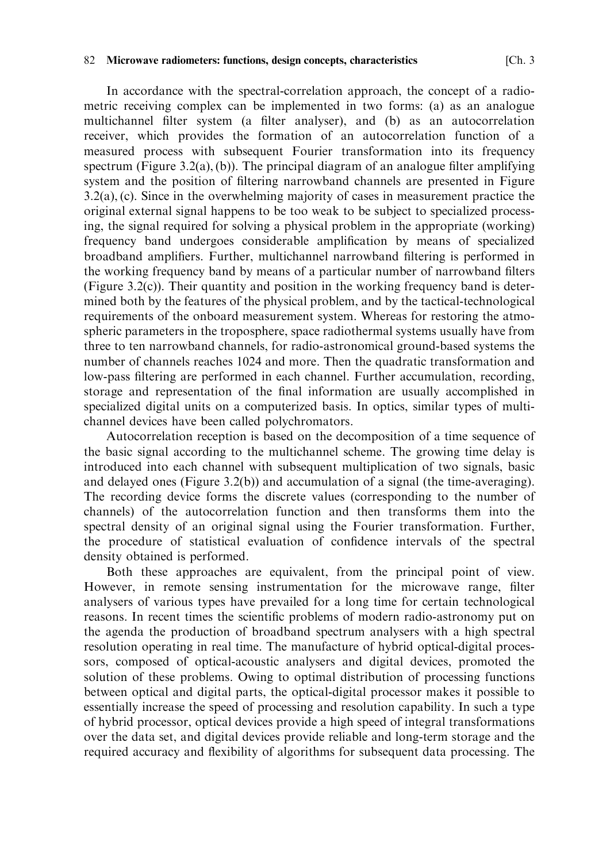### 82 Microwave radiometers: functions, design concepts, characteristics

In accordance with the spectral-correlation approach, the concept of a radiometric receiving complex can be implemented in two forms: (a) as an analogue multichannel filter system (a filter analyser), and (b) as an autocorrelation receiver, which provides the formation of an autocorrelation function of a measured process with subsequent Fourier transformation into its frequency spectrum (Figure 3.2(a), (b)). The principal diagram of an analogue filter amplifying system and the position of filtering narrowband channels are presented in Figure  $3.2(a)$ , (c). Since in the overwhelming majority of cases in measurement practice the original external signal happens to be too weak to be subject to specialized processing, the signal required for solving a physical problem in the appropriate (working) frequency band undergoes considerable amplification by means of specialized broadband amplifiers. Further, multichannel narrowband filtering is performed in the working frequency band by means of a particular number of narrowband filters (Figure 3.2(c)). Their quantity and position in the working frequency band is determined both by the features of the physical problem, and by the tactical-technological requirements of the onboard measurement system. Whereas for restoring the atmospheric parameters in the troposphere, space radiothermal systems usually have from three to ten narrowband channels, for radio-astronomical ground-based systems the number of channels reaches 1024 and more. Then the quadratic transformation and low-pass filtering are performed in each channel. Further accumulation, recording, storage and representation of the final information are usually accomplished in specialized digital units on a computerized basis. In optics, similar types of multichannel devices have been called polychromators.

Autocorrelation reception is based on the decomposition of a time sequence of the basic signal according to the multichannel scheme. The growing time delay is introduced into each channel with subsequent multiplication of two signals, basic and delayed ones (Figure  $3.2(b)$ ) and accumulation of a signal (the time-averaging). The recording device forms the discrete values (corresponding to the number of channels) of the autocorrelation function and then transforms them into the spectral density of an original signal using the Fourier transformation. Further, the procedure of statistical evaluation of confidence intervals of the spectral density obtained is performed.

Both these approaches are equivalent, from the principal point of view. However, in remote sensing instrumentation for the microwave range, filter analysers of various types have prevailed for a long time for certain technological reasons. In recent times the scientific problems of modern radio-astronomy put on the agenda the production of broadband spectrum analysers with a high spectral resolution operating in real time. The manufacture of hybrid optical-digital processors, composed of optical-acoustic analysers and digital devices, promoted the solution of these problems. Owing to optimal distribution of processing functions between optical and digital parts, the optical-digital processor makes it possible to essentially increase the speed of processing and resolution capability. In such a type of hybrid processor, optical devices provide a high speed of integral transformations over the data set, and digital devices provide reliable and long-term storage and the required accuracy and flexibility of algorithms for subsequent data processing. The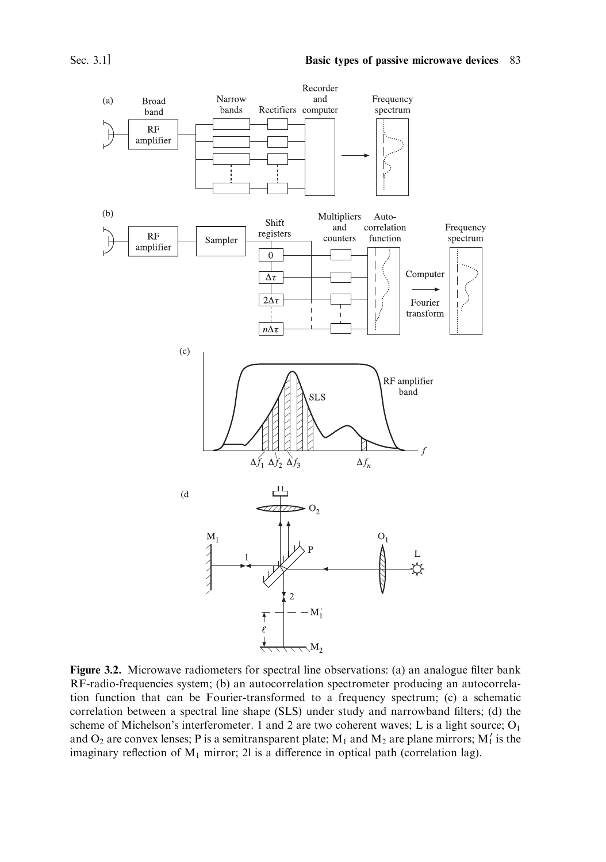

Figure 3.2. Microwave radiometers for spectral line observations: (a) an analogue filter bank RF-radio-frequencies system; (b) an autocorrelation spectrometer producing an autocorrelation function that can be Fourier-transformed to a frequency spectrum; (c) a schematic correlation between a spectral line shape (SLS) under study and narrowband filters; (d) the scheme of Michelson's interferometer. 1 and 2 are two coherent waves; L is a light source;  $O<sub>1</sub>$ and O<sub>2</sub> are convex lenses; P is a semitransparent plate;  $M_1$  and  $M_2$  are plane mirrors;  $M'_1$  is the imaginary reflection of  $M_1$  mirror; 21 is a difference in optical path (correlation lag).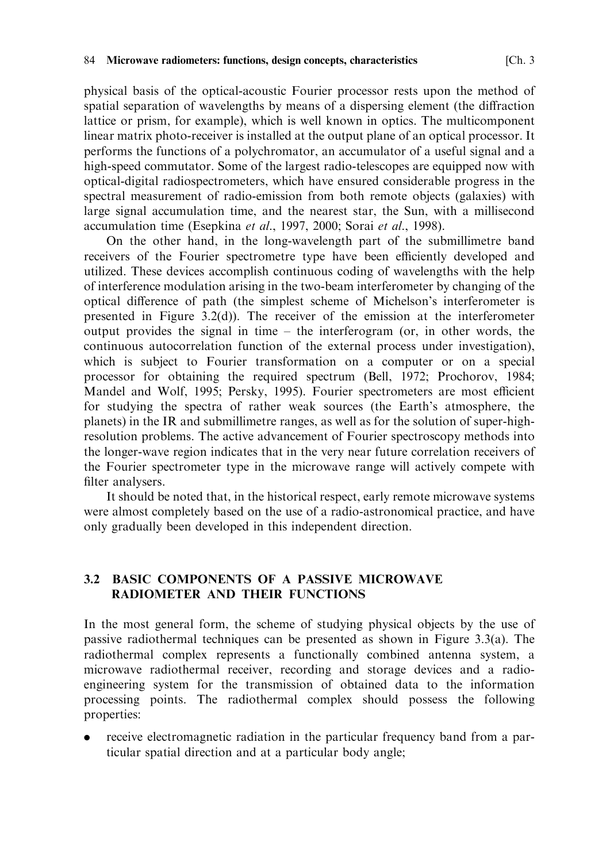physical basis of the optical-acoustic Fourier processor rests upon the method of spatial separation of wavelengths by means of a dispersing element (the diffraction lattice or prism, for example), which is well known in optics. The multicomponent linear matrix photo-receiver is installed at the output plane of an optical processor. It performs the functions of a polychromator, an accumulator of a useful signal and a high-speed commutator. Some of the largest radio-telescopes are equipped now with optical-digital radiospectrometers, which have ensured considerable progress in the spectral measurement of radio-emission from both remote objects (galaxies) with large signal accumulation time, and the nearest star, the Sun, with a millisecond accumulation time (Esepkina et al., 1997, 2000; Sorai et al., 1998).

On the other hand, in the long-wavelength part of the submillimetre band receivers of the Fourier spectrometre type have been efficiently developed and utilized. These devices accomplish continuous coding of wavelengths with the help of interference modulation arising in the two-beam interferometer by changing of the optical difference of path (the simplest scheme of Michelson's interferometer is presented in Figure 3.2(d)). The receiver of the emission at the interferometer output provides the signal in time  $-$  the interferogram (or, in other words, the continuous autocorrelation function of the external process under investigation). which is subject to Fourier transformation on a computer or on a special processor for obtaining the required spectrum (Bell, 1972; Prochorov, 1984; Mandel and Wolf, 1995; Persky, 1995). Fourier spectrometers are most efficient for studying the spectra of rather weak sources (the Earth's atmosphere, the planets) in the IR and submillimetre ranges, as well as for the solution of super-highresolution problems. The active advancement of Fourier spectroscopy methods into the longer-wave region indicates that in the very near future correlation receivers of the Fourier spectrometer type in the microwave range will actively compete with filter analysers.

It should be noted that, in the historical respect, early remote microwave systems were almost completely based on the use of a radio-astronomical practice, and have only gradually been developed in this independent direction.

# 3.2 BASIC COMPONENTS OF A PASSIVE MICROWAVE **RADIOMETER AND THEIR FUNCTIONS**

In the most general form, the scheme of studying physical objects by the use of passive radiothermal techniques can be presented as shown in Figure  $3.3(a)$ . The radiothermal complex represents a functionally combined antenna system, a microwave radiothermal receiver, recording and storage devices and a radioengineering system for the transmission of obtained data to the information processing points. The radiothermal complex should possess the following properties:

receive electromagnetic radiation in the particular frequency band from a particular spatial direction and at a particular body angle;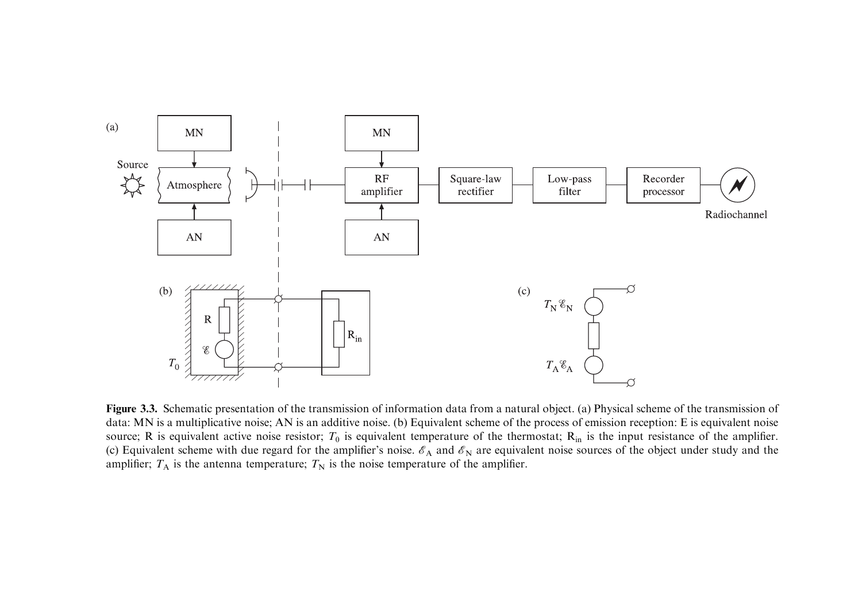

Figure 3.3. Schematic presentation of the transmission of information data from a natural object. (a) Physical scheme of the transmission of data: MN is a multiplicative noise; AN is an additive noise. (b) Equivalent scheme of the process of emission reception: E is equivalent noise source; R is equivalent active noise resistor;  $T_0$  is equivalent temperature of the thermostat;  $R_{in}$  is the input resistance of the amplifier. (c) Equivalent scheme with due regard for the amplifier's noise.  $\mathscr{E}_A$  and  $\mathscr{E}_N$  are equivalent noise sources of the object under study and the amplifier;  $T_A$  is the antenna temperature;  $T_N$  is the noise temperature of the amplifier.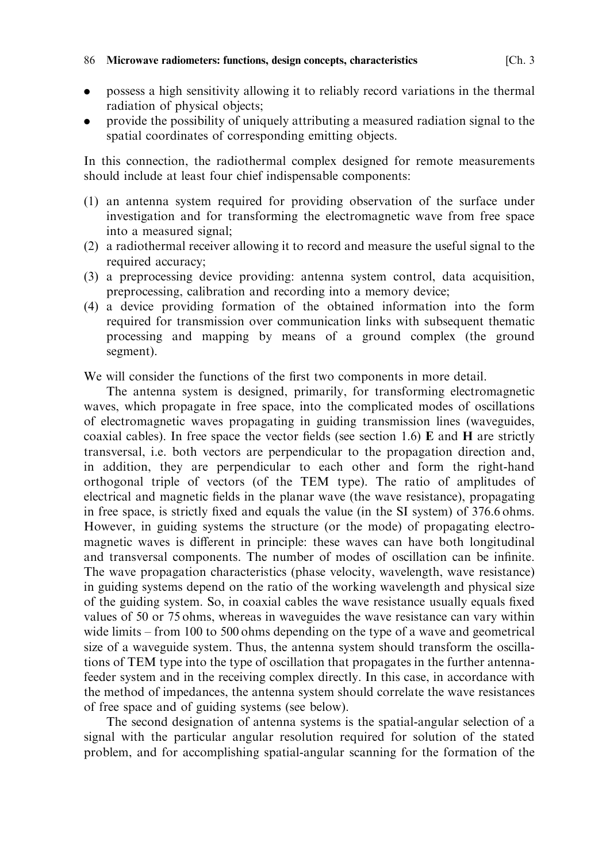- possess a high sensitivity allowing it to reliably record variations in the thermal  $\bullet$ radiation of physical objects;
- provide the possibility of uniquely attributing a measured radiation signal to the  $\bullet$ spatial coordinates of corresponding emitting objects.

In this connection, the radiothermal complex designed for remote measurements should include at least four chief indispensable components:

- (1) an antenna system required for providing observation of the surface under investigation and for transforming the electromagnetic wave from free space into a measured signal;
- (2) a radiothermal receiver allowing it to record and measure the useful signal to the required accuracy;
- (3) a preprocessing device providing: antenna system control, data acquisition, preprocessing, calibration and recording into a memory device;
- (4) a device providing formation of the obtained information into the form required for transmission over communication links with subsequent thematic processing and mapping by means of a ground complex (the ground segment).

We will consider the functions of the first two components in more detail.

The antenna system is designed, primarily, for transforming electromagnetic waves, which propagate in free space, into the complicated modes of oscillations of electromagnetic waves propagating in guiding transmission lines (waveguides, coaxial cables). In free space the vector fields (see section 1.6)  $\bf{E}$  and  $\bf{H}$  are strictly transversal, *i.e.* both vectors are perpendicular to the propagation direction and, in addition, they are perpendicular to each other and form the right-hand orthogonal triple of vectors (of the TEM type). The ratio of amplitudes of electrical and magnetic fields in the planar wave (the wave resistance), propagating in free space, is strictly fixed and equals the value (in the SI system) of 376.6 ohms. However, in guiding systems the structure (or the mode) of propagating electromagnetic waves is different in principle: these waves can have both longitudinal and transversal components. The number of modes of oscillation can be infinite. The wave propagation characteristics (phase velocity, wavelength, wave resistance) in guiding systems depend on the ratio of the working wavelength and physical size of the guiding system. So, in coaxial cables the wave resistance usually equals fixed values of 50 or 75 ohms, whereas in waveguides the wave resistance can vary within wide limits – from 100 to 500 ohms depending on the type of a wave and geometrical size of a waveguide system. Thus, the antenna system should transform the oscillations of TEM type into the type of oscillation that propagates in the further antennafeeder system and in the receiving complex directly. In this case, in accordance with the method of impedances, the antenna system should correlate the wave resistances of free space and of guiding systems (see below).

The second designation of antenna systems is the spatial-angular selection of a signal with the particular angular resolution required for solution of the stated problem, and for accomplishing spatial-angular scanning for the formation of the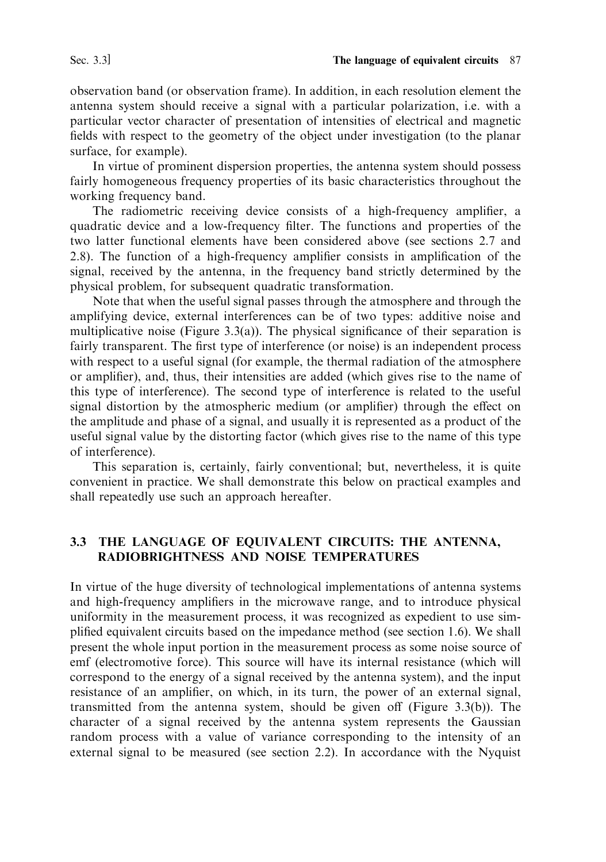observation band (or observation frame). In addition, in each resolution element the antenna system should receive a signal with a particular polarization, *i.e.* with a particular vector character of presentation of intensities of electrical and magnetic fields with respect to the geometry of the object under investigation (to the planar surface, for example).

In virtue of prominent dispersion properties, the antenna system should possess fairly homogeneous frequency properties of its basic characteristics throughout the working frequency band.

The radiometric receiving device consists of a high-frequency amplifier, a quadratic device and a low-frequency filter. The functions and properties of the two latter functional elements have been considered above (see sections 2.7 and 2.8). The function of a high-frequency amplifier consists in amplification of the signal, received by the antenna, in the frequency band strictly determined by the physical problem, for subsequent quadratic transformation.

Note that when the useful signal passes through the atmosphere and through the amplifying device, external interferences can be of two types: additive noise and multiplicative noise (Figure 3.3(a)). The physical significance of their separation is fairly transparent. The first type of interference (or noise) is an independent process with respect to a useful signal (for example, the thermal radiation of the atmosphere or amplifier), and, thus, their intensities are added (which gives rise to the name of this type of interference). The second type of interference is related to the useful signal distortion by the atmospheric medium (or amplifier) through the effect on the amplitude and phase of a signal, and usually it is represented as a product of the useful signal value by the distorting factor (which gives rise to the name of this type of interference).

This separation is, certainly, fairly conventional; but, nevertheless, it is quite convenient in practice. We shall demonstrate this below on practical examples and shall repeatedly use such an approach hereafter.

# 3.3 THE LANGUAGE OF EQUIVALENT CIRCUITS: THE ANTENNA, **RADIOBRIGHTNESS AND NOISE TEMPERATURES**

In virtue of the huge diversity of technological implementations of antenna systems and high-frequency amplifiers in the microwave range, and to introduce physical uniformity in the measurement process, it was recognized as expedient to use simplified equivalent circuits based on the impedance method (see section 1.6). We shall present the whole input portion in the measurement process as some noise source of emf (electromotive force). This source will have its internal resistance (which will correspond to the energy of a signal received by the antenna system), and the input resistance of an amplifier, on which, in its turn, the power of an external signal, transmitted from the antenna system, should be given off (Figure  $3.3(b)$ ). The character of a signal received by the antenna system represents the Gaussian random process with a value of variance corresponding to the intensity of an external signal to be measured (see section 2.2). In accordance with the Nyquist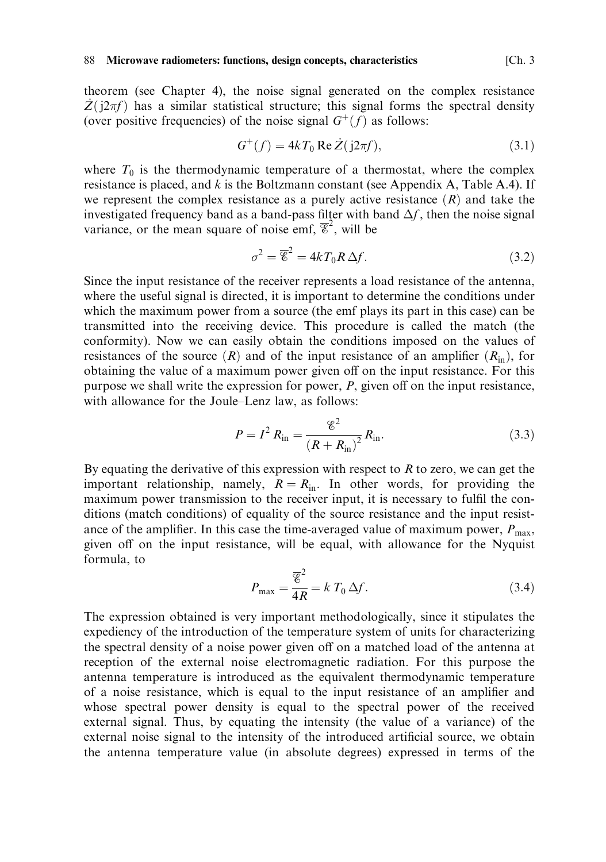theorem (see Chapter 4), the noise signal generated on the complex resistance  $Z(i2\pi f)$  has a similar statistical structure; this signal forms the spectral density (over positive frequencies) of the noise signal  $G^+(f)$  as follows:

$$
G^{+}(f) = 4kT_0 \operatorname{Re} Z(j2\pi f), \tag{3.1}
$$

where  $T_0$  is the thermodynamic temperature of a thermostat, where the complex resistance is placed, and  $k$  is the Boltzmann constant (see Appendix A, Table A.4). If we represent the complex resistance as a purely active resistance  $(R)$  and take the investigated frequency band as a band-pass filter with band  $\Delta f$ , then the noise signal variance, or the mean square of noise emf,  $\overline{g}^2$ , will be

$$
\sigma^2 = \overline{\mathcal{E}}^2 = 4kT_0R\,\Delta f. \tag{3.2}
$$

Since the input resistance of the receiver represents a load resistance of the antenna, where the useful signal is directed, it is important to determine the conditions under which the maximum power from a source (the emf plays its part in this case) can be transmitted into the receiving device. This procedure is called the match (the conformity). Now we can easily obtain the conditions imposed on the values of resistances of the source  $(R)$  and of the input resistance of an amplifier  $(R_{in})$ , for obtaining the value of a maximum power given off on the input resistance. For this purpose we shall write the expression for power,  $P$ , given off on the input resistance, with allowance for the Joule–Lenz law, as follows:

$$
P = I^2 R_{\rm in} = \frac{\mathcal{E}^2}{\left(R + R_{\rm in}\right)^2} R_{\rm in}.\tag{3.3}
$$

By equating the derivative of this expression with respect to  $R$  to zero, we can get the important relationship, namely,  $R = R_{\text{in}}$ . In other words, for providing the maximum power transmission to the receiver input, it is necessary to fulfil the conditions (match conditions) of equality of the source resistance and the input resistance of the amplifier. In this case the time-averaged value of maximum power,  $P_{\text{max}}$ , given off on the input resistance, will be equal, with allowance for the Nyquist formula, to

$$
P_{\text{max}} = \frac{\overline{\mathcal{E}}^2}{4R} = k \, T_0 \, \Delta f. \tag{3.4}
$$

The expression obtained is very important methodologically, since it stipulates the expediency of the introduction of the temperature system of units for characterizing the spectral density of a noise power given off on a matched load of the antenna at reception of the external noise electromagnetic radiation. For this purpose the antenna temperature is introduced as the equivalent thermodynamic temperature of a noise resistance, which is equal to the input resistance of an amplifier and whose spectral power density is equal to the spectral power of the received external signal. Thus, by equating the intensity (the value of a variance) of the external noise signal to the intensity of the introduced artificial source, we obtain the antenna temperature value (in absolute degrees) expressed in terms of the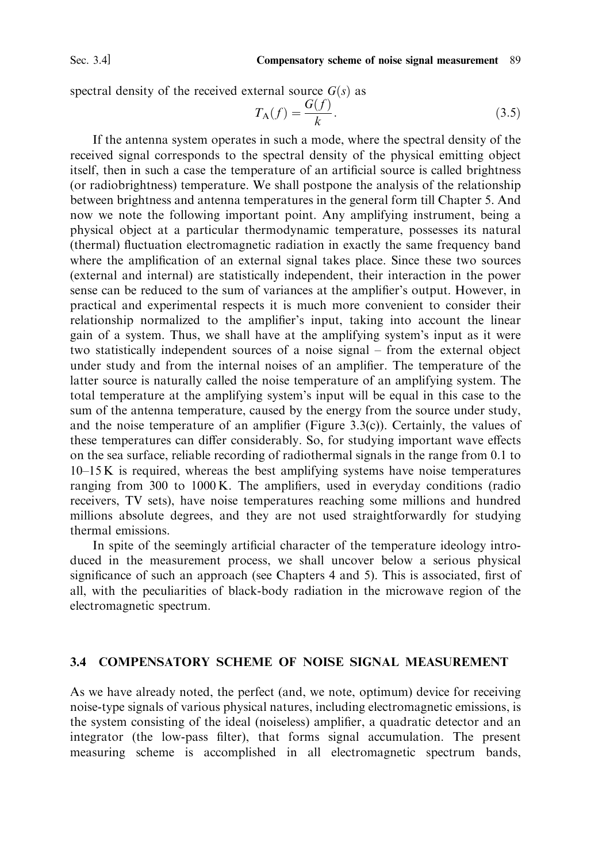spectral density of the received external source  $G(s)$  as

$$
T_{\mathcal{A}}(f) = \frac{G(f)}{k}.\tag{3.5}
$$

If the antenna system operates in such a mode, where the spectral density of the received signal corresponds to the spectral density of the physical emitting object itself, then in such a case the temperature of an artificial source is called brightness (or radiobrightness) temperature. We shall postpone the analysis of the relationship between brightness and antenna temperatures in the general form till Chapter 5. And now we note the following important point. Any amplifying instrument, being a physical object at a particular thermodynamic temperature, possesses its natural (thermal) fluctuation electromagnetic radiation in exactly the same frequency band where the amplification of an external signal takes place. Since these two sources (external and internal) are statistically independent, their interaction in the power sense can be reduced to the sum of variances at the amplifier's output. However, in practical and experimental respects it is much more convenient to consider their relationship normalized to the amplifier's input, taking into account the linear gain of a system. Thus, we shall have at the amplifying system's input as it were two statistically independent sources of a noise signal – from the external object under study and from the internal noises of an amplifier. The temperature of the latter source is naturally called the noise temperature of an amplifying system. The total temperature at the amplifying system's input will be equal in this case to the sum of the antenna temperature, caused by the energy from the source under study, and the noise temperature of an amplifier (Figure 3.3(c)). Certainly, the values of these temperatures can differ considerably. So, for studying important wave effects on the sea surface, reliable recording of radiothermal signals in the range from 0.1 to  $10-15$  K is required, whereas the best amplifying systems have noise temperatures ranging from  $300$  to  $1000$  K. The amplifiers, used in everyday conditions (radio receivers, TV sets), have noise temperatures reaching some millions and hundred millions absolute degrees, and they are not used straightforwardly for studying thermal emissions.

In spite of the seemingly artificial character of the temperature ideology introduced in the measurement process, we shall uncover below a serious physical significance of such an approach (see Chapters 4 and 5). This is associated, first of all, with the peculiarities of black-body radiation in the microwave region of the electromagnetic spectrum.

# 3.4 COMPENSATORY SCHEME OF NOISE SIGNAL MEASUREMENT

As we have already noted, the perfect (and, we note, optimum) device for receiving noise-type signals of various physical natures, including electromagnetic emissions, is the system consisting of the ideal (noiseless) amplifier, a quadratic detector and an integrator (the low-pass filter), that forms signal accumulation. The present measuring scheme is accomplished in all electromagnetic spectrum bands,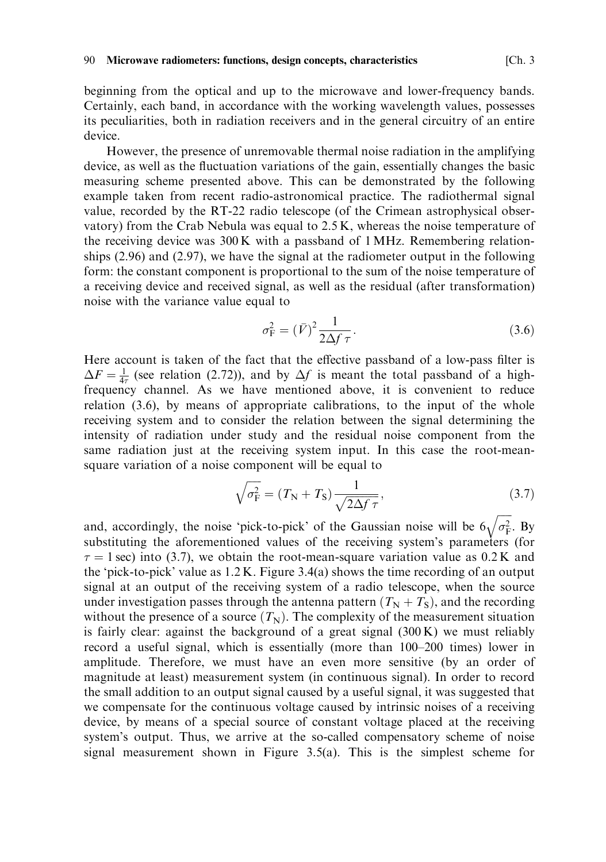#### Microwave radiometers: functions, design concepts, characteristics 90

beginning from the optical and up to the microwave and lower-frequency bands. Certainly, each band, in accordance with the working wavelength values, possesses its peculiarities, both in radiation receivers and in the general circuitry of an entire device.

However, the presence of unremovable thermal noise radiation in the amplifying device, as well as the fluctuation variations of the gain, essentially changes the basic measuring scheme presented above. This can be demonstrated by the following example taken from recent radio-astronomical practice. The radiothermal signal value, recorded by the RT-22 radio telescope (of the Crimean astrophysical observatory) from the Crab Nebula was equal to  $2.5 K$ , whereas the noise temperature of the receiving device was 300 K with a passband of 1 MHz. Remembering relationships  $(2.96)$  and  $(2.97)$ , we have the signal at the radiometer output in the following form: the constant component is proportional to the sum of the noise temperature of a receiving device and received signal, as well as the residual (after transformation) noise with the variance value equal to

$$
\sigma_{\rm F}^2 = (\bar{V})^2 \frac{1}{2\Delta f \tau}.
$$
\n(3.6)

Here account is taken of the fact that the effective passband of a low-pass filter is  $\Delta F = \frac{1}{4\pi}$  (see relation (2.72)), and by  $\Delta f$  is meant the total passband of a highfrequency channel. As we have mentioned above, it is convenient to reduce relation (3.6), by means of appropriate calibrations, to the input of the whole receiving system and to consider the relation between the signal determining the intensity of radiation under study and the residual noise component from the same radiation just at the receiving system input. In this case the root-meansquare variation of a noise component will be equal to

$$
\sqrt{\sigma_{\rm F}^2} = (T_{\rm N} + T_{\rm S}) \frac{1}{\sqrt{2\Delta f \tau}},\tag{3.7}
$$

and, accordingly, the noise 'pick-to-pick' of the Gaussian noise will be  $6\sqrt{\sigma_F^2}$ . By substituting the aforementioned values of the receiving system's parameters (for  $\tau = 1$  sec) into (3.7), we obtain the root-mean-square variation value as 0.2 K and the 'pick-to-pick' value as  $1.2$  K. Figure 3.4(a) shows the time recording of an output signal at an output of the receiving system of a radio telescope, when the source under investigation passes through the antenna pattern  $(T_N + T_S)$ , and the recording without the presence of a source  $(T_N)$ . The complexity of the measurement situation is fairly clear: against the background of a great signal  $(300K)$  we must reliably record a useful signal, which is essentially (more than 100–200 times) lower in amplitude. Therefore, we must have an even more sensitive (by an order of magnitude at least) measurement system (in continuous signal). In order to record the small addition to an output signal caused by a useful signal, it was suggested that we compensate for the continuous voltage caused by intrinsic noises of a receiving device, by means of a special source of constant voltage placed at the receiving system's output. Thus, we arrive at the so-called compensatory scheme of noise signal measurement shown in Figure  $3.5(a)$ . This is the simplest scheme for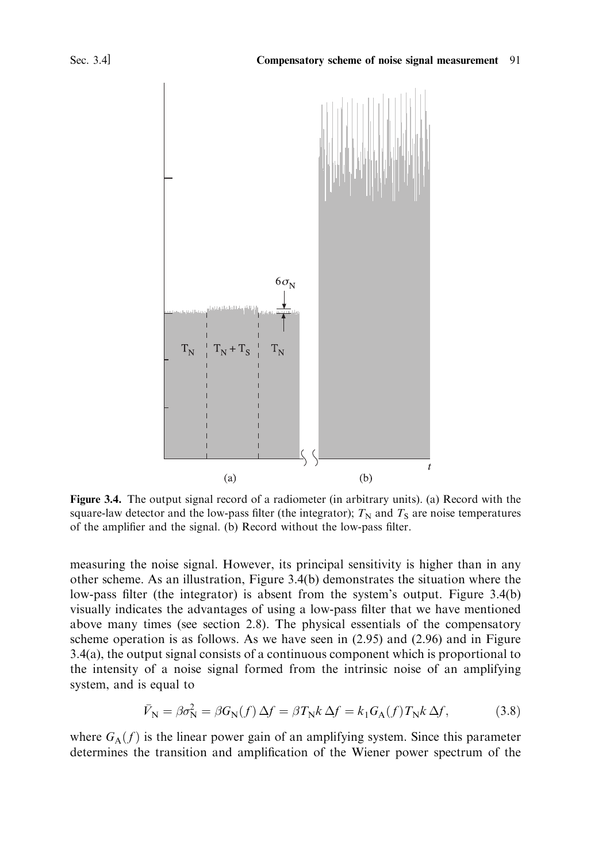



Figure 3.4. The output signal record of a radiometer (in arbitrary units). (a) Record with the square-law detector and the low-pass filter (the integrator);  $T_N$  and  $T_S$  are noise temperatures of the amplifier and the signal. (b) Record without the low-pass filter.

measuring the noise signal. However, its principal sensitivity is higher than in any other scheme. As an illustration, Figure 3.4(b) demonstrates the situation where the low-pass filter (the integrator) is absent from the system's output. Figure 3.4(b) visually indicates the advantages of using a low-pass filter that we have mentioned above many times (see section 2.8). The physical essentials of the compensatory scheme operation is as follows. As we have seen in  $(2.95)$  and  $(2.96)$  and in Figure  $3.4(a)$ , the output signal consists of a continuous component which is proportional to the intensity of a noise signal formed from the intrinsic noise of an amplifying system, and is equal to

$$
\bar{V}_{\rm N} = \beta \sigma_{\rm N}^2 = \beta G_{\rm N}(f) \Delta f = \beta T_{\rm N} k \Delta f = k_1 G_{\rm A}(f) T_{\rm N} k \Delta f, \tag{3.8}
$$

where  $G_A(f)$  is the linear power gain of an amplifying system. Since this parameter determines the transition and amplification of the Wiener power spectrum of the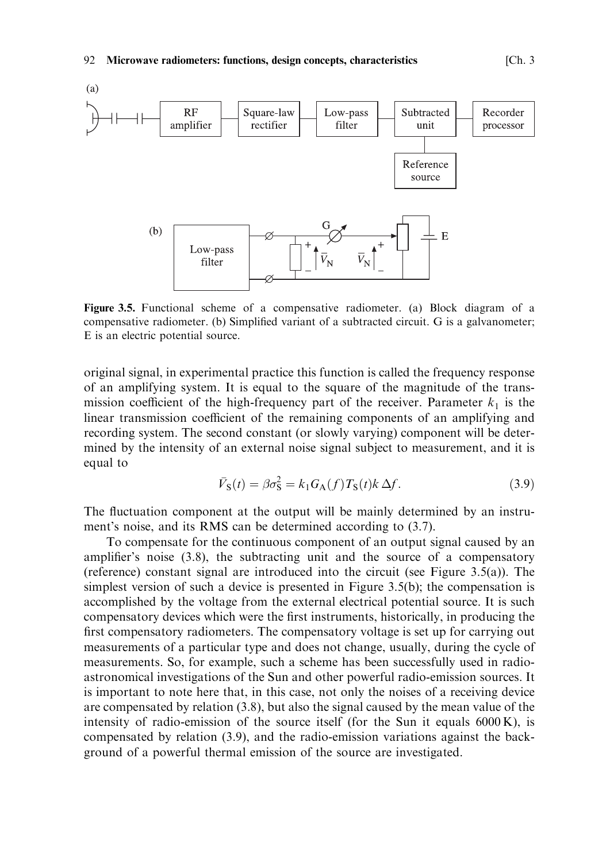

Figure 3.5. Functional scheme of a compensative radiometer. (a) Block diagram of a compensative radiometer. (b) Simplified variant of a subtracted circuit. G is a galvanometer; E is an electric potential source.

original signal, in experimental practice this function is called the frequency response of an amplifying system. It is equal to the square of the magnitude of the transmission coefficient of the high-frequency part of the receiver. Parameter  $k_1$  is the linear transmission coefficient of the remaining components of an amplifying and recording system. The second constant (or slowly varying) component will be determined by the intensity of an external noise signal subject to measurement, and it is equal to

$$
\bar{V}_{\mathbf{S}}(t) = \beta \sigma_{\mathbf{S}}^2 = k_1 G_{\mathbf{A}}(f) T_{\mathbf{S}}(t) k \Delta f.
$$
\n(3.9)

The fluctuation component at the output will be mainly determined by an instrument's noise, and its RMS can be determined according to (3.7).

To compensate for the continuous component of an output signal caused by an amplifier's noise (3.8), the subtracting unit and the source of a compensatory (reference) constant signal are introduced into the circuit (see Figure 3.5(a)). The simplest version of such a device is presented in Figure  $3.5(b)$ ; the compensation is accomplished by the voltage from the external electrical potential source. It is such compensatory devices which were the first instruments, historically, in producing the first compensatory radiometers. The compensatory voltage is set up for carrying out measurements of a particular type and does not change, usually, during the cycle of measurements. So, for example, such a scheme has been successfully used in radioastronomical investigations of the Sun and other powerful radio-emission sources. It is important to note here that, in this case, not only the noises of a receiving device are compensated by relation (3.8), but also the signal caused by the mean value of the intensity of radio-emission of the source itself (for the Sun it equals  $6000 \text{ K}$ ), is compensated by relation (3.9), and the radio-emission variations against the background of a powerful thermal emission of the source are investigated.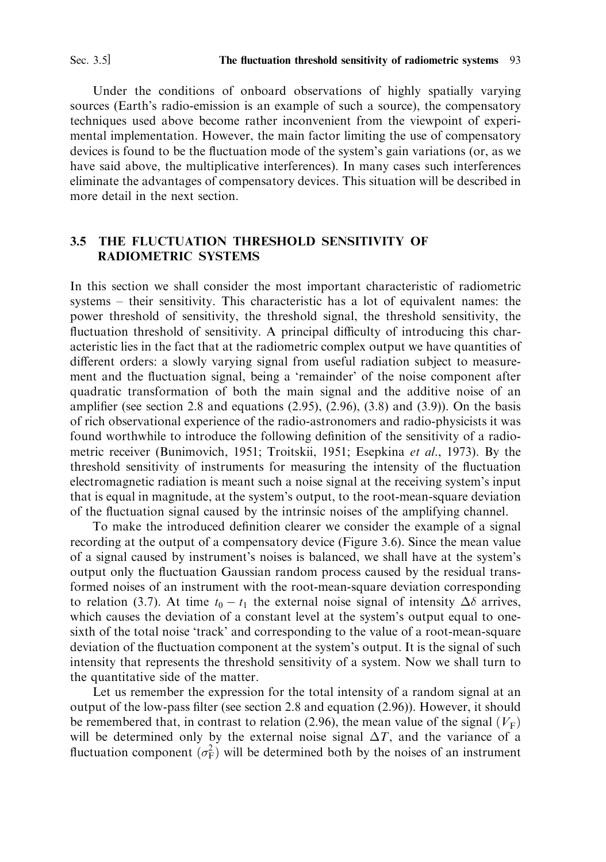Sec. 3.5]

Under the conditions of onboard observations of highly spatially varying sources (Earth's radio-emission is an example of such a source), the compensatory techniques used above become rather inconvenient from the viewpoint of experimental implementation. However, the main factor limiting the use of compensatory devices is found to be the fluctuation mode of the system's gain variations (or, as we have said above, the multiplicative interferences). In many cases such interferences eliminate the advantages of compensatory devices. This situation will be described in more detail in the next section.

#### THE FLUCTUATION THRESHOLD SENSITIVITY OF  $3.5$ **RADIOMETRIC SYSTEMS**

In this section we shall consider the most important characteristic of radiometric systems - their sensitivity. This characteristic has a lot of equivalent names: the power threshold of sensitivity, the threshold signal, the threshold sensitivity, the fluctuation threshold of sensitivity. A principal difficulty of introducing this characteristic lies in the fact that at the radiometric complex output we have quantities of different orders: a slowly varying signal from useful radiation subject to measurement and the fluctuation signal, being a 'remainder' of the noise component after quadratic transformation of both the main signal and the additive noise of an amplifier (see section 2.8 and equations  $(2.95)$ ,  $(2.96)$ ,  $(3.8)$  and  $(3.9)$ ). On the basis of rich observational experience of the radio-astronomers and radio-physicists it was found worthwhile to introduce the following definition of the sensitivity of a radiometric receiver (Bunimovich, 1951; Troitskii, 1951; Esepkina et al., 1973). By the threshold sensitivity of instruments for measuring the intensity of the fluctuation electromagnetic radiation is meant such a noise signal at the receiving system's input that is equal in magnitude, at the system's output, to the root-mean-square deviation of the fluctuation signal caused by the intrinsic noises of the amplifying channel.

To make the introduced definition clearer we consider the example of a signal recording at the output of a compensatory device (Figure 3.6). Since the mean value of a signal caused by instrument's noises is balanced, we shall have at the system's output only the fluctuation Gaussian random process caused by the residual transformed noises of an instrument with the root-mean-square deviation corresponding to relation (3.7). At time  $t_0 - t_1$  the external noise signal of intensity  $\Delta \delta$  arrives, which causes the deviation of a constant level at the system's output equal to onesixth of the total noise 'track' and corresponding to the value of a root-mean-square deviation of the fluctuation component at the system's output. It is the signal of such intensity that represents the threshold sensitivity of a system. Now we shall turn to the quantitative side of the matter.

Let us remember the expression for the total intensity of a random signal at an output of the low-pass filter (see section 2.8 and equation (2.96)). However, it should be remembered that, in contrast to relation (2.96), the mean value of the signal  $(V_F)$ will be determined only by the external noise signal  $\Delta T$ , and the variance of a fluctuation component  $(\sigma_F^2)$  will be determined both by the noises of an instrument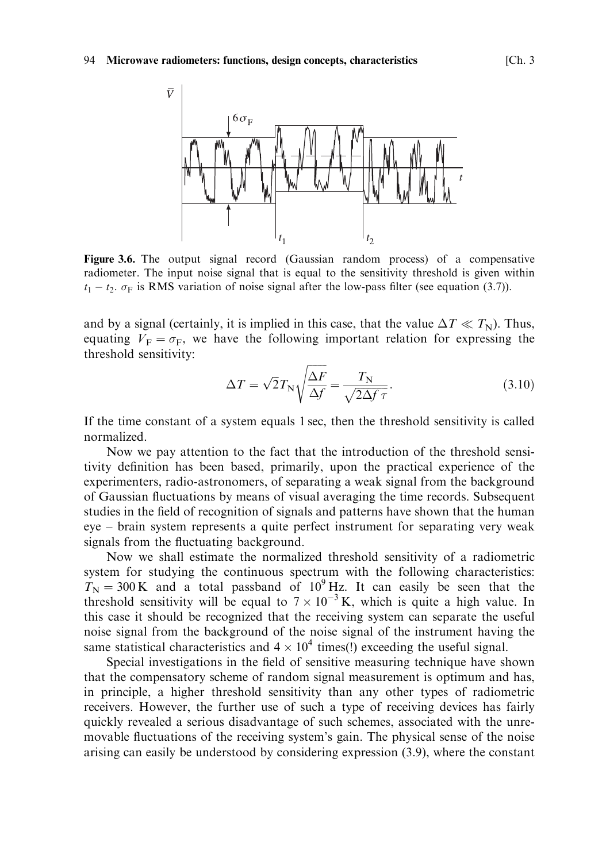

Figure 3.6. The output signal record (Gaussian random process) of a compensative radiometer. The input noise signal that is equal to the sensitivity threshold is given within  $t_1 - t_2$ .  $\sigma_F$  is RMS variation of noise signal after the low-pass filter (see equation (3.7)).

and by a signal (certainly, it is implied in this case, that the value  $\Delta T \ll T_N$ ). Thus, equating  $V_F = \sigma_F$ , we have the following important relation for expressing the threshold sensitivity:

$$
\Delta T = \sqrt{2} T_{\rm N} \sqrt{\frac{\Delta F}{\Delta f}} = \frac{T_{\rm N}}{\sqrt{2\Delta f \tau}}.
$$
\n(3.10)

If the time constant of a system equals 1 sec, then the threshold sensitivity is called normalized.

Now we pay attention to the fact that the introduction of the threshold sensitivity definition has been based, primarily, upon the practical experience of the experimenters, radio-astronomers, of separating a weak signal from the background of Gaussian fluctuations by means of visual averaging the time records. Subsequent studies in the field of recognition of signals and patterns have shown that the human eye – brain system represents a quite perfect instrument for separating very weak signals from the fluctuating background.

Now we shall estimate the normalized threshold sensitivity of a radiometric system for studying the continuous spectrum with the following characteristics:  $T<sub>N</sub> = 300$  K and a total passband of 10<sup>9</sup> Hz. It can easily be seen that the threshold sensitivity will be equal to  $7 \times 10^{-3}$  K, which is quite a high value. In this case it should be recognized that the receiving system can separate the useful noise signal from the background of the noise signal of the instrument having the same statistical characteristics and  $4 \times 10^4$  times(!) exceeding the useful signal.

Special investigations in the field of sensitive measuring technique have shown that the compensatory scheme of random signal measurement is optimum and has, in principle, a higher threshold sensitivity than any other types of radiometric receivers. However, the further use of such a type of receiving devices has fairly quickly revealed a serious disadvantage of such schemes, associated with the unremovable fluctuations of the receiving system's gain. The physical sense of the noise arising can easily be understood by considering expression (3.9), where the constant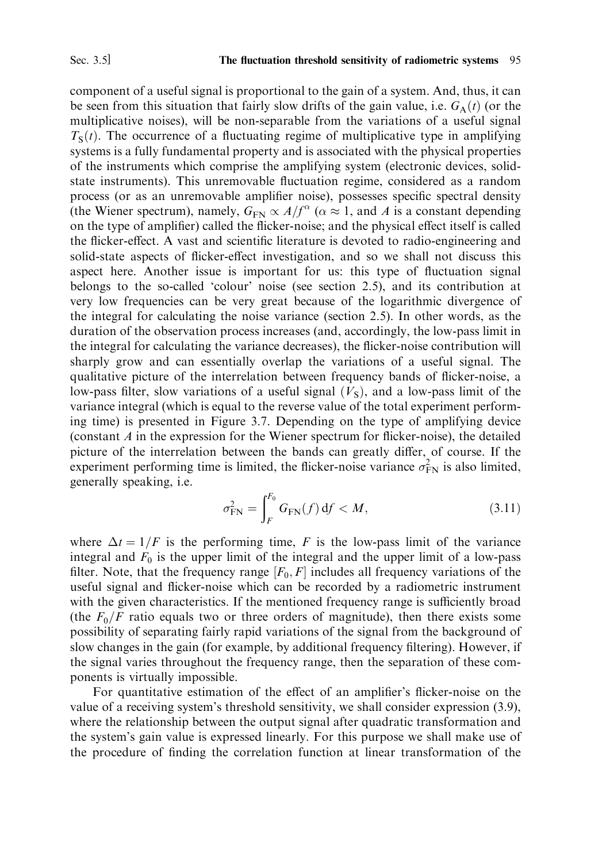Sec. 3.5]

component of a useful signal is proportional to the gain of a system. And, thus, it can be seen from this situation that fairly slow drifts of the gain value, i.e.  $G_A(t)$  (or the multiplicative noises), will be non-separable from the variations of a useful signal  $T_S(t)$ . The occurrence of a fluctuating regime of multiplicative type in amplifying systems is a fully fundamental property and is associated with the physical properties of the instruments which comprise the amplifying system (electronic devices, solidstate instruments). This unremovable fluctuation regime, considered as a random process (or as an unremovable amplifier noise), possesses specific spectral density (the Wiener spectrum), namely,  $G_{FN} \propto A/f^{\alpha}$  ( $\alpha \approx 1$ , and A is a constant depending on the type of amplifier) called the flicker-noise; and the physical effect itself is called the flicker-effect. A vast and scientific literature is devoted to radio-engineering and solid-state aspects of flicker-effect investigation, and so we shall not discuss this aspect here. Another issue is important for us: this type of fluctuation signal belongs to the so-called 'colour' noise (see section 2.5), and its contribution at very low frequencies can be very great because of the logarithmic divergence of the integral for calculating the noise variance (section 2.5). In other words, as the duration of the observation process increases (and, accordingly, the low-pass limit in the integral for calculating the variance decreases), the flicker-noise contribution will sharply grow and can essentially overlap the variations of a useful signal. The qualitative picture of the interrelation between frequency bands of flicker-noise, a low-pass filter, slow variations of a useful signal  $(V<sub>S</sub>)$ , and a low-pass limit of the variance integral (which is equal to the reverse value of the total experiment performing time) is presented in Figure 3.7. Depending on the type of amplifying device (constant  $\vec{A}$  in the expression for the Wiener spectrum for flicker-noise), the detailed picture of the interrelation between the bands can greatly differ, of course. If the experiment performing time is limited, the flicker-noise variance  $\sigma_{FN}^2$  is also limited, generally speaking, i.e.

$$
\sigma_{\rm FN}^2 = \int_F^{F_0} G_{\rm FN}(f) \, \mathrm{d}f < M,\tag{3.11}
$$

where  $\Delta t = 1/F$  is the performing time, F is the low-pass limit of the variance integral and  $F_0$  is the upper limit of the integral and the upper limit of a low-pass filter. Note, that the frequency range  $[F_0, F]$  includes all frequency variations of the useful signal and flicker-noise which can be recorded by a radiometric instrument with the given characteristics. If the mentioned frequency range is sufficiently broad (the  $F_0/F$  ratio equals two or three orders of magnitude), then there exists some possibility of separating fairly rapid variations of the signal from the background of slow changes in the gain (for example, by additional frequency filtering). However, if the signal varies throughout the frequency range, then the separation of these components is virtually impossible.

For quantitative estimation of the effect of an amplifier's flicker-noise on the value of a receiving system's threshold sensitivity, we shall consider expression (3.9), where the relationship between the output signal after quadratic transformation and the system's gain value is expressed linearly. For this purpose we shall make use of the procedure of finding the correlation function at linear transformation of the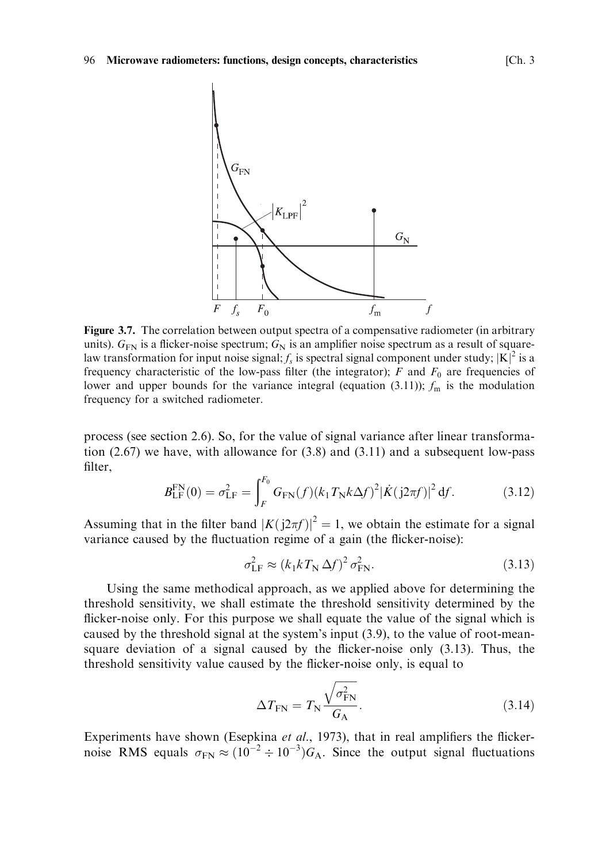

Figure 3.7. The correlation between output spectra of a compensative radiometer (in arbitrary units).  $G_{FN}$  is a flicker-noise spectrum;  $G_N$  is an amplifier noise spectrum as a result of squarelaw transformation for input noise signal;  $f<sub>s</sub>$  is spectral signal component under study;  $|K|^2$  is a frequency characteristic of the low-pass filter (the integrator); F and  $F_0$  are frequencies of lower and upper bounds for the variance integral (equation  $(3.11)$ );  $f_m$  is the modulation frequency for a switched radiometer.

process (see section 2.6). So, for the value of signal variance after linear transformation  $(2.67)$  we have, with allowance for  $(3.8)$  and  $(3.11)$  and a subsequent low-pass filter.

$$
B_{\rm LF}^{\rm FN}(0) = \sigma_{\rm LF}^2 = \int_F^{F_0} G_{\rm FN}(f) (k_1 T_{\rm N} k \Delta f)^2 |\dot{K}(j2\pi f)|^2 \, \mathrm{d} f. \tag{3.12}
$$

Assuming that in the filter band  $|K(j2\pi f)|^2 = 1$ , we obtain the estimate for a signal variance caused by the fluctuation regime of a gain (the flicker-noise):

$$
\sigma_{LF}^2 \approx (k_1 k T_N \Delta f)^2 \sigma_{FN}^2.
$$
\n(3.13)

Using the same methodical approach, as we applied above for determining the threshold sensitivity, we shall estimate the threshold sensitivity determined by the flicker-noise only. For this purpose we shall equate the value of the signal which is caused by the threshold signal at the system's input  $(3.9)$ , to the value of root-meansquare deviation of a signal caused by the flicker-noise only (3.13). Thus, the threshold sensitivity value caused by the flicker-noise only, is equal to

$$
\Delta T_{\rm FN} = T_{\rm N} \frac{\sqrt{\sigma_{\rm FN}^2}}{G_{\rm A}}.\tag{3.14}
$$

Experiments have shown (Esepkina *et al.*, 1973), that in real amplifiers the flickernoise RMS equals  $\sigma_{FN} \approx (10^{-2} \div 10^{-3}) G_A$ . Since the output signal fluctuations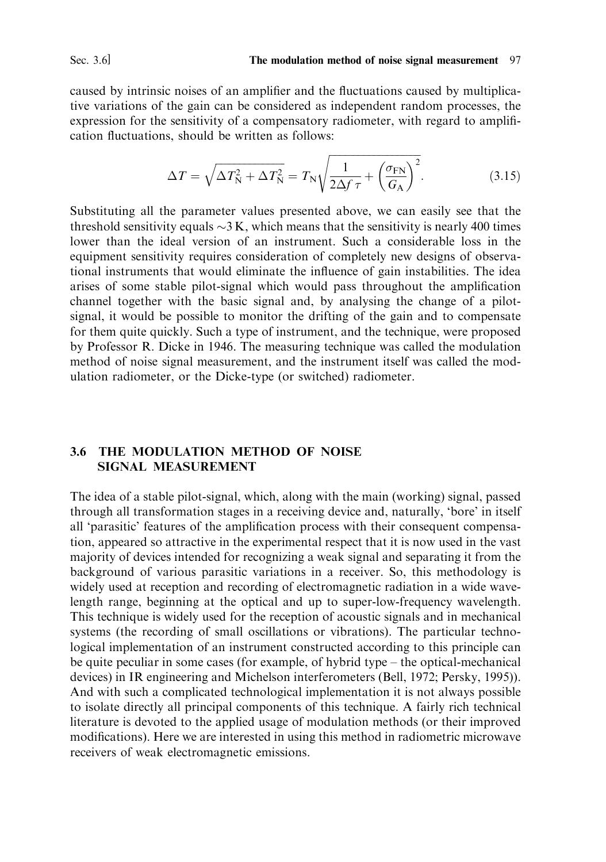caused by intrinsic noises of an amplifier and the fluctuations caused by multiplicative variations of the gain can be considered as independent random processes, the expression for the sensitivity of a compensatory radiometer, with regard to amplification fluctuations, should be written as follows:

$$
\Delta T = \sqrt{\Delta T_N^2 + \Delta T_N^2} = T_N \sqrt{\frac{1}{2\Delta f \tau} + \left(\frac{\sigma_{FN}}{G_A}\right)^2}.
$$
 (3.15)

Substituting all the parameter values presented above, we can easily see that the threshold sensitivity equals  $\sim$ 3 K, which means that the sensitivity is nearly 400 times lower than the ideal version of an instrument. Such a considerable loss in the equipment sensitivity requires consideration of completely new designs of observational instruments that would eliminate the influence of gain instabilities. The idea arises of some stable pilot-signal which would pass throughout the amplification channel together with the basic signal and, by analysing the change of a pilotsignal, it would be possible to monitor the drifting of the gain and to compensate for them quite quickly. Such a type of instrument, and the technique, were proposed by Professor R. Dicke in 1946. The measuring technique was called the modulation method of noise signal measurement, and the instrument itself was called the modulation radiometer, or the Dicke-type (or switched) radiometer.

# 3.6 THE MODULATION METHOD OF NOISE **SIGNAL MEASUREMENT**

The idea of a stable pilot-signal, which, along with the main (working) signal, passed through all transformation stages in a receiving device and, naturally, 'bore' in itself all 'parasitic' features of the amplification process with their consequent compensation, appeared so attractive in the experimental respect that it is now used in the vast majority of devices intended for recognizing a weak signal and separating it from the background of various parasitic variations in a receiver. So, this methodology is widely used at reception and recording of electromagnetic radiation in a wide wavelength range, beginning at the optical and up to super-low-frequency wavelength. This technique is widely used for the reception of acoustic signals and in mechanical systems (the recording of small oscillations or vibrations). The particular technological implementation of an instrument constructed according to this principle can be quite peculiar in some cases (for example, of hybrid type – the optical-mechanical devices) in IR engineering and Michelson interferometers (Bell, 1972; Persky, 1995)). And with such a complicated technological implementation it is not always possible to isolate directly all principal components of this technique. A fairly rich technical literature is devoted to the applied usage of modulation methods (or their improved modifications). Here we are interested in using this method in radiometric microwave receivers of weak electromagnetic emissions.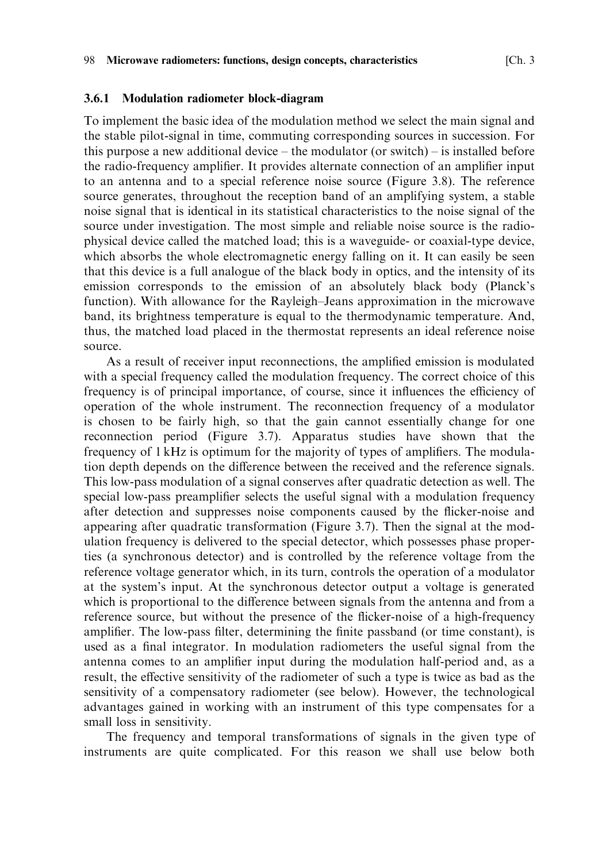#### $3.6.1$ Modulation radiometer block-diagram

To implement the basic idea of the modulation method we select the main signal and the stable pilot-signal in time, commuting corresponding sources in succession. For this purpose a new additional device – the modulator (or switch) – is installed before the radio-frequency amplifier. It provides alternate connection of an amplifier input to an antenna and to a special reference noise source (Figure 3.8). The reference source generates, throughout the reception band of an amplifying system, a stable noise signal that is identical in its statistical characteristics to the noise signal of the source under investigation. The most simple and reliable noise source is the radiophysical device called the matched load; this is a waveguide- or coaxial-type device, which absorbs the whole electromagnetic energy falling on it. It can easily be seen that this device is a full analogue of the black body in optics, and the intensity of its emission corresponds to the emission of an absolutely black body (Planck's function). With allowance for the Rayleigh-Jeans approximation in the microwave band, its brightness temperature is equal to the thermodynamic temperature. And, thus, the matched load placed in the thermostat represents an ideal reference noise source.

As a result of receiver input reconnections, the amplified emission is modulated with a special frequency called the modulation frequency. The correct choice of this frequency is of principal importance, of course, since it influences the efficiency of operation of the whole instrument. The reconnection frequency of a modulator is chosen to be fairly high, so that the gain cannot essentially change for one reconnection period (Figure 3.7). Apparatus studies have shown that the frequency of 1 kHz is optimum for the majority of types of amplifiers. The modulation depth depends on the difference between the received and the reference signals. This low-pass modulation of a signal conserves after quadratic detection as well. The special low-pass preamplifier selects the useful signal with a modulation frequency after detection and suppresses noise components caused by the flicker-noise and appearing after quadratic transformation (Figure 3.7). Then the signal at the modulation frequency is delivered to the special detector, which possesses phase properties (a synchronous detector) and is controlled by the reference voltage from the reference voltage generator which, in its turn, controls the operation of a modulator at the system's input. At the synchronous detector output a voltage is generated which is proportional to the difference between signals from the antenna and from a reference source, but without the presence of the flicker-noise of a high-frequency amplifier. The low-pass filter, determining the finite passband (or time constant), is used as a final integrator. In modulation radiometers the useful signal from the antenna comes to an amplifier input during the modulation half-period and, as a result, the effective sensitivity of the radiometer of such a type is twice as bad as the sensitivity of a compensatory radiometer (see below). However, the technological advantages gained in working with an instrument of this type compensates for a small loss in sensitivity.

The frequency and temporal transformations of signals in the given type of instruments are quite complicated. For this reason we shall use below both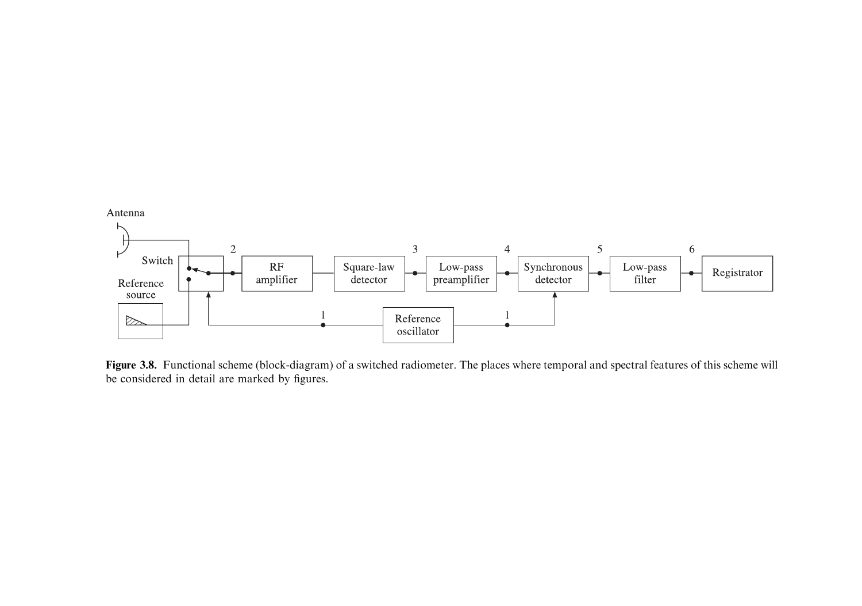

Figure 3.8. Functional scheme (block-diagram) of a switched radiometer. The places where temporal and spectral features of this scheme will be considered in detail are marked by figures.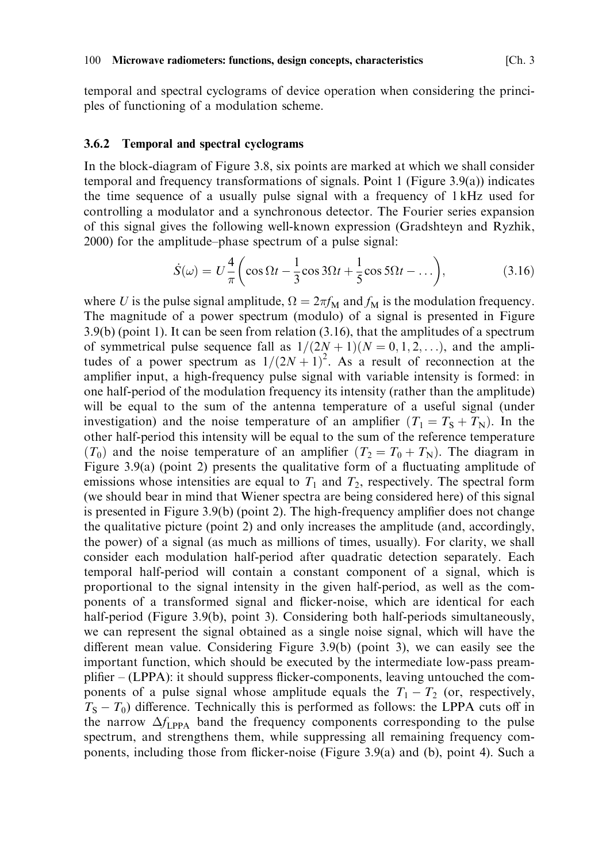temporal and spectral cyclograms of device operation when considering the principles of functioning of a modulation scheme.

#### $3.6.2$ **Temporal and spectral cyclograms**

In the block-diagram of Figure 3.8, six points are marked at which we shall consider temporal and frequency transformations of signals. Point 1 (Figure 3.9(a)) indicates the time sequence of a usually pulse signal with a frequency of 1 kHz used for controlling a modulator and a synchronous detector. The Fourier series expansion of this signal gives the following well-known expression (Gradshteyn and Ryzhik, 2000) for the amplitude–phase spectrum of a pulse signal:

$$
\dot{S}(\omega) = U \frac{4}{\pi} \left( \cos \Omega t - \frac{1}{3} \cos 3\Omega t + \frac{1}{5} \cos 5\Omega t - \dots \right),\tag{3.16}
$$

where U is the pulse signal amplitude,  $\Omega = 2\pi f_M$  and  $f_M$  is the modulation frequency. The magnitude of a power spectrum (modulo) of a signal is presented in Figure  $3.9(b)$  (point 1). It can be seen from relation (3.16), that the amplitudes of a spectrum of symmetrical pulse sequence fall as  $1/(2N+1)(N=0,1,2,...)$ , and the amplitudes of a power spectrum as  $1/(2N+1)^2$ . As a result of reconnection at the amplifier input, a high-frequency pulse signal with variable intensity is formed: in one half-period of the modulation frequency its intensity (rather than the amplitude) will be equal to the sum of the antenna temperature of a useful signal (under investigation) and the noise temperature of an amplifier  $(T_1 = T_S + T_N)$ . In the other half-period this intensity will be equal to the sum of the reference temperature  $(T_0)$  and the noise temperature of an amplifier  $(T_2 = T_0 + T_N)$ . The diagram in Figure 3.9(a) (point 2) presents the qualitative form of a fluctuating amplitude of emissions whose intensities are equal to  $T_1$  and  $T_2$ , respectively. The spectral form (we should bear in mind that Wiener spectra are being considered here) of this signal is presented in Figure 3.9(b) (point 2). The high-frequency amplifier does not change the qualitative picture (point 2) and only increases the amplitude (and, accordingly, the power) of a signal (as much as millions of times, usually). For clarity, we shall consider each modulation half-period after quadratic detection separately. Each temporal half-period will contain a constant component of a signal, which is proportional to the signal intensity in the given half-period, as well as the components of a transformed signal and flicker-noise, which are identical for each half-period (Figure 3.9(b), point 3). Considering both half-periods simultaneously, we can represent the signal obtained as a single noise signal, which will have the different mean value. Considering Figure 3.9(b) (point 3), we can easily see the important function, which should be executed by the intermediate low-pass preamplifier – (LPPA): it should suppress flicker-components, leaving untouched the components of a pulse signal whose amplitude equals the  $T_1 - T_2$  (or, respectively,  $T_S - T_0$ ) difference. Technically this is performed as follows: the LPPA cuts off in the narrow  $\Delta f_{LPPA}$  band the frequency components corresponding to the pulse spectrum, and strengthens them, while suppressing all remaining frequency components, including those from flicker-noise (Figure 3.9(a) and (b), point 4). Such a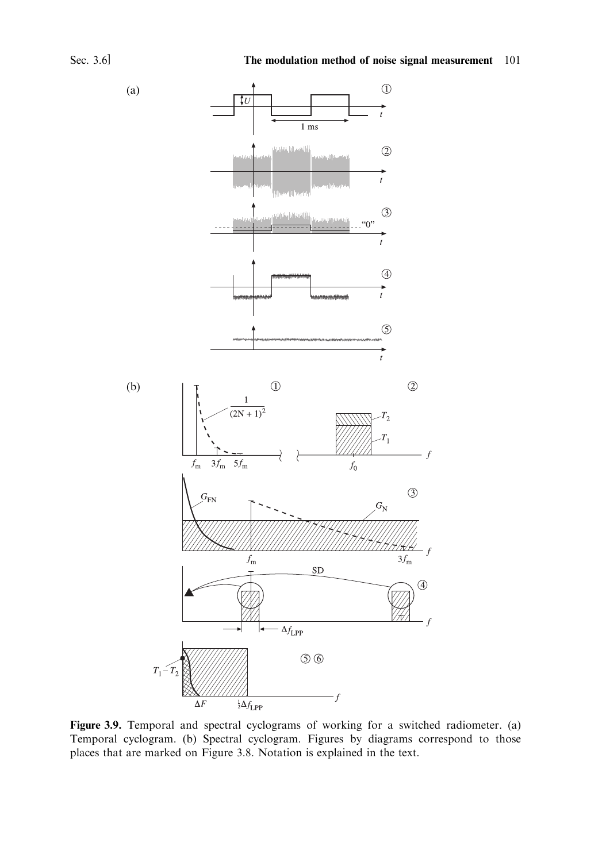

Figure 3.9. Temporal and spectral cyclograms of working for a switched radiometer. (a) Temporal cyclogram. (b) Spectral cyclogram. Figures by diagrams correspond to those places that are marked on Figure 3.8. Notation is explained in the text.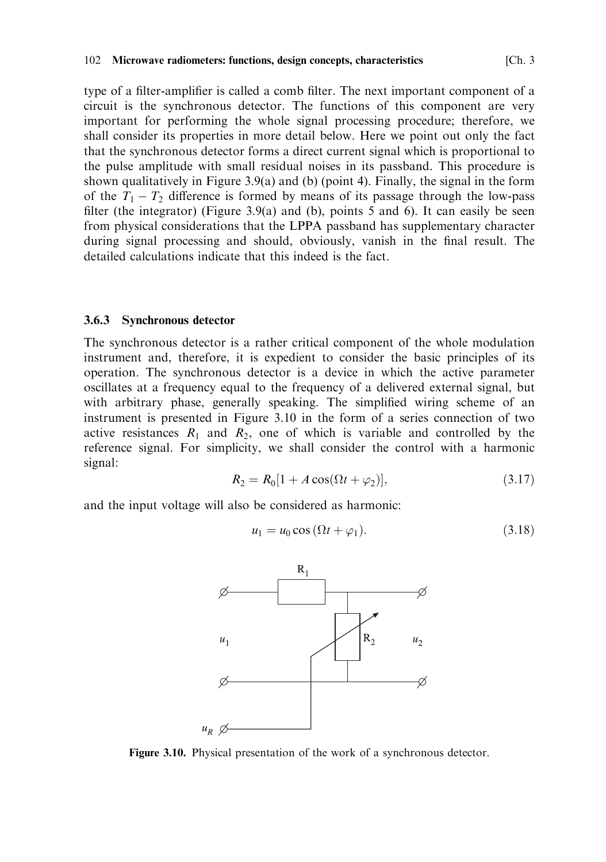type of a filter-amplifier is called a comb filter. The next important component of a circuit is the synchronous detector. The functions of this component are very important for performing the whole signal processing procedure; therefore, we shall consider its properties in more detail below. Here we point out only the fact that the synchronous detector forms a direct current signal which is proportional to the pulse amplitude with small residual noises in its passband. This procedure is shown qualitatively in Figure  $3.9(a)$  and (b) (point 4). Finally, the signal in the form of the  $T_1 - T_2$  difference is formed by means of its passage through the low-pass filter (the integrator) (Figure 3.9(a) and (b), points 5 and 6). It can easily be seen from physical considerations that the LPPA passband has supplementary character during signal processing and should, obviously, vanish in the final result. The detailed calculations indicate that this indeed is the fact.

### 3.6.3 Synchronous detector

The synchronous detector is a rather critical component of the whole modulation instrument and, therefore, it is expedient to consider the basic principles of its operation. The synchronous detector is a device in which the active parameter oscillates at a frequency equal to the frequency of a delivered external signal, but with arbitrary phase, generally speaking. The simplified wiring scheme of an instrument is presented in Figure 3.10 in the form of a series connection of two active resistances  $R_1$  and  $R_2$ , one of which is variable and controlled by the reference signal. For simplicity, we shall consider the control with a harmonic signal:

$$
R_2 = R_0[1 + A\cos(\Omega t + \varphi_2)],\tag{3.17}
$$

and the input voltage will also be considered as harmonic:

$$
u_1 = u_0 \cos(\Omega t + \varphi_1). \tag{3.18}
$$



Figure 3.10. Physical presentation of the work of a synchronous detector.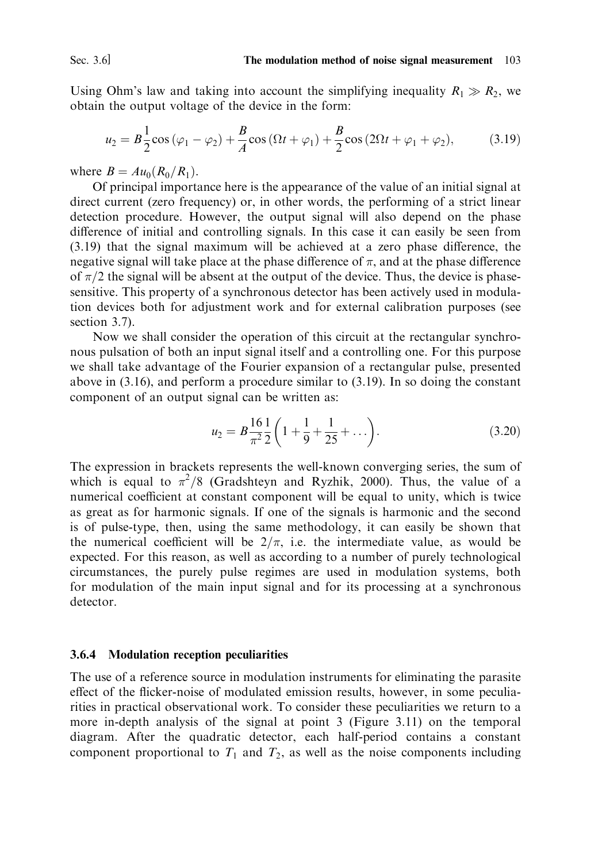Using Ohm's law and taking into account the simplifying inequality  $R_1 \gg R_2$ , we obtain the output voltage of the device in the form:

$$
u_2 = B\frac{1}{2}\cos{(\varphi_1 - \varphi_2)} + \frac{B}{A}\cos{(\Omega t + \varphi_1)} + \frac{B}{2}\cos{(2\Omega t + \varphi_1 + \varphi_2)},
$$
(3.19)

where  $B = Au_0(R_0/R_1)$ .

Of principal importance here is the appearance of the value of an initial signal at direct current (zero frequency) or, in other words, the performing of a strict linear detection procedure. However, the output signal will also depend on the phase difference of initial and controlling signals. In this case it can easily be seen from (3.19) that the signal maximum will be achieved at a zero phase difference, the negative signal will take place at the phase difference of  $\pi$ , and at the phase difference of  $\pi/2$  the signal will be absent at the output of the device. Thus, the device is phasesensitive. This property of a synchronous detector has been actively used in modulation devices both for adjustment work and for external calibration purposes (see section  $3.7$ ).

Now we shall consider the operation of this circuit at the rectangular synchronous pulsation of both an input signal itself and a controlling one. For this purpose we shall take advantage of the Fourier expansion of a rectangular pulse, presented above in  $(3.16)$ , and perform a procedure similar to  $(3.19)$ . In so doing the constant component of an output signal can be written as:

$$
u_2 = B \frac{16}{\pi^2} \frac{1}{2} \left( 1 + \frac{1}{9} + \frac{1}{25} + \dots \right). \tag{3.20}
$$

The expression in brackets represents the well-known converging series, the sum of which is equal to  $\pi^2/8$  (Gradshteyn and Ryzhik, 2000). Thus, the value of a numerical coefficient at constant component will be equal to unity, which is twice as great as for harmonic signals. If one of the signals is harmonic and the second is of pulse-type, then, using the same methodology, it can easily be shown that the numerical coefficient will be  $2/\pi$ , i.e. the intermediate value, as would be expected. For this reason, as well as according to a number of purely technological circumstances, the purely pulse regimes are used in modulation systems, both for modulation of the main input signal and for its processing at a synchronous detector.

### 3.6.4 Modulation reception peculiarities

The use of a reference source in modulation instruments for eliminating the parasite effect of the flicker-noise of modulated emission results, however, in some peculiarities in practical observational work. To consider these peculiarities we return to a more in-depth analysis of the signal at point 3 (Figure 3.11) on the temporal diagram. After the quadratic detector, each half-period contains a constant component proportional to  $T_1$  and  $T_2$ , as well as the noise components including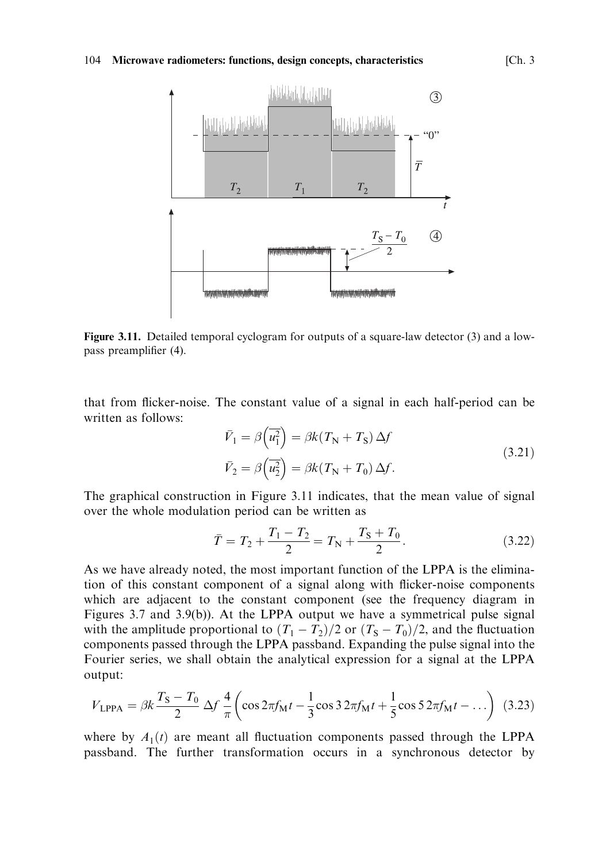

Figure 3.11. Detailed temporal cyclogram for outputs of a square-law detector (3) and a lowpass preamplifier (4).

that from flicker-noise. The constant value of a signal in each half-period can be written as follows:

$$
\bar{V}_1 = \beta \left(\overline{u_1^2}\right) = \beta k (T_N + T_S) \Delta f
$$
\n
$$
\bar{V}_2 = \beta \left(\overline{u_2^2}\right) = \beta k (T_N + T_0) \Delta f.
$$
\n(3.21)

The graphical construction in Figure 3.11 indicates, that the mean value of signal over the whole modulation period can be written as

$$
\bar{T} = T_2 + \frac{T_1 - T_2}{2} = T_N + \frac{T_S + T_0}{2}.
$$
\n(3.22)

As we have already noted, the most important function of the LPPA is the elimination of this constant component of a signal along with flicker-noise components which are adjacent to the constant component (see the frequency diagram in Figures 3.7 and 3.9(b)). At the LPPA output we have a symmetrical pulse signal with the amplitude proportional to  $(T_1 - T_2)/2$  or  $(T_5 - T_0)/2$ , and the fluctuation components passed through the LPPA passband. Expanding the pulse signal into the Fourier series, we shall obtain the analytical expression for a signal at the LPPA output:

$$
V_{\text{LPPA}} = \beta k \frac{T_{\text{S}} - T_0}{2} \Delta f \frac{4}{\pi} \left( \cos 2\pi f_{\text{M}} t - \frac{1}{3} \cos 32\pi f_{\text{M}} t + \frac{1}{5} \cos 52\pi f_{\text{M}} t - \dots \right) (3.23)
$$

where by  $A_1(t)$  are meant all fluctuation components passed through the LPPA passband. The further transformation occurs in a synchronous detector by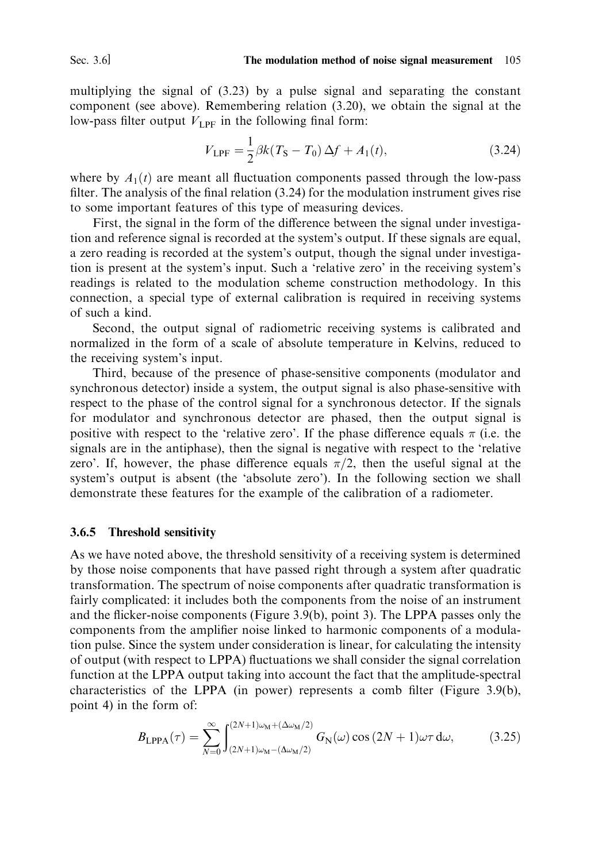multiplying the signal of  $(3.23)$  by a pulse signal and separating the constant component (see above). Remembering relation (3.20), we obtain the signal at the low-pass filter output  $V_{\text{LPF}}$  in the following final form:

$$
V_{\rm LPF} = \frac{1}{2} \beta k (T_{\rm S} - T_0) \,\Delta f + A_1(t),\tag{3.24}
$$

where by  $A_1(t)$  are meant all fluctuation components passed through the low-pass filter. The analysis of the final relation  $(3.24)$  for the modulation instrument gives rise to some important features of this type of measuring devices.

First, the signal in the form of the difference between the signal under investigation and reference signal is recorded at the system's output. If these signals are equal, a zero reading is recorded at the system's output, though the signal under investigation is present at the system's input. Such a 'relative zero' in the receiving system's readings is related to the modulation scheme construction methodology. In this connection, a special type of external calibration is required in receiving systems of such a kind.

Second, the output signal of radiometric receiving systems is calibrated and normalized in the form of a scale of absolute temperature in Kelvins, reduced to the receiving system's input.

Third, because of the presence of phase-sensitive components (modulator and synchronous detector) inside a system, the output signal is also phase-sensitive with respect to the phase of the control signal for a synchronous detector. If the signals for modulator and synchronous detector are phased, then the output signal is positive with respect to the 'relative zero'. If the phase difference equals  $\pi$  (i.e. the signals are in the antiphase), then the signal is negative with respect to the 'relative zero'. If, however, the phase difference equals  $\pi/2$ , then the useful signal at the system's output is absent (the 'absolute zero'). In the following section we shall demonstrate these features for the example of the calibration of a radiometer.

### 3.6.5 Threshold sensitivity

As we have noted above, the threshold sensitivity of a receiving system is determined by those noise components that have passed right through a system after quadratic transformation. The spectrum of noise components after quadratic transformation is fairly complicated: it includes both the components from the noise of an instrument and the flicker-noise components (Figure 3.9(b), point 3). The LPPA passes only the components from the amplifier noise linked to harmonic components of a modulation pulse. Since the system under consideration is linear, for calculating the intensity of output (with respect to LPPA) fluctuations we shall consider the signal correlation function at the LPPA output taking into account the fact that the amplitude-spectral characteristics of the LPPA (in power) represents a comb filter (Figure 3.9(b), point 4) in the form of:

$$
B_{\text{LPPA}}(\tau) = \sum_{N=0}^{\infty} \int_{(2N+1)\omega_M - (\Delta\omega_M/2)}^{(2N+1)\omega_M + (\Delta\omega_M/2)} G_N(\omega) \cos(2N+1)\omega\tau d\omega, \tag{3.25}
$$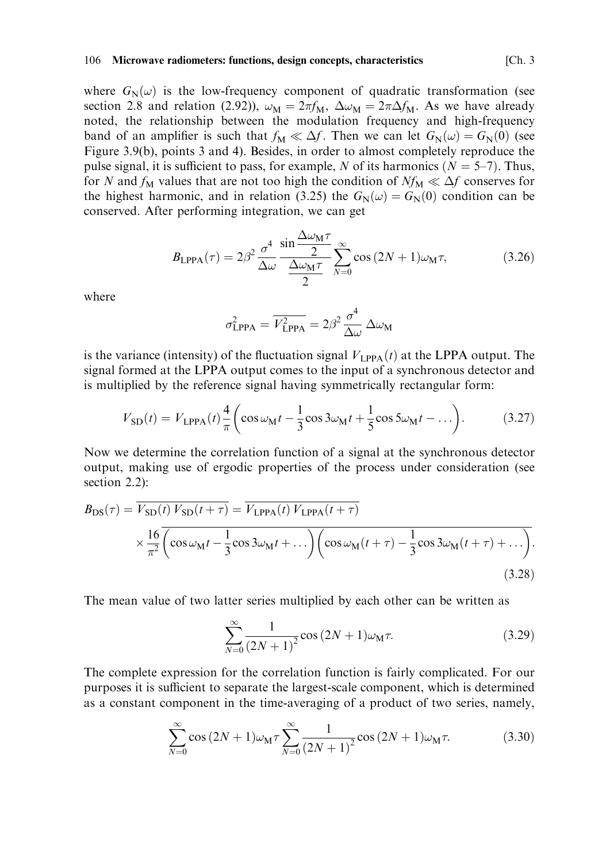### 106 Microwave radiometers: functions, design concepts, characteristics

where  $G_N(\omega)$  is the low-frequency component of quadratic transformation (see section 2.8 and relation (2.92)),  $\omega_M = 2\pi f_M$ ,  $\Delta \omega_M = 2\pi \Delta f_M$ . As we have already noted, the relationship between the modulation frequency and high-frequency band of an amplifier is such that  $f_M \ll \Delta f$ . Then we can let  $G_N(\omega) = G_N(0)$  (see Figure 3.9(b), points 3 and 4). Besides, in order to almost completely reproduce the pulse signal, it is sufficient to pass, for example, N of its harmonics  $(N = 5-7)$ . Thus, for N and  $f_M$  values that are not too high the condition of  $Nf_M \ll \Delta f$  conserves for the highest harmonic, and in relation (3.25) the  $G_N(\omega) = G_N(0)$  condition can be conserved. After performing integration, we can get

$$
B_{\text{LPPA}}(\tau) = 2\beta^2 \frac{\sigma^4}{\Delta \omega} \frac{\sin \frac{\Delta \omega_{\text{M}} \tau}{2}}{\frac{\Delta \omega_{\text{M}} \tau}{2}} \sum_{N=0}^{\infty} \cos (2N + 1) \omega_{\text{M}} \tau, \tag{3.26}
$$

where

$$
\sigma_{\text{LPPA}}^2 = \overline{V_{\text{LPPA}}^2} = 2\beta^2 \frac{\sigma^4}{\Delta \omega} \Delta \omega_{\text{M}}
$$

is the variance (intensity) of the fluctuation signal  $V_{\text{IPPA}}(t)$  at the LPPA output. The signal formed at the LPPA output comes to the input of a synchronous detector and is multiplied by the reference signal having symmetrically rectangular form:

$$
V_{\text{SD}}(t) = V_{\text{LPPA}}(t) \frac{4}{\pi} \left( \cos \omega_{\text{M}} t - \frac{1}{3} \cos 3\omega_{\text{M}} t + \frac{1}{5} \cos 5\omega_{\text{M}} t - \dots \right). \tag{3.27}
$$

Now we determine the correlation function of a signal at the synchronous detector output, making use of ergodic properties of the process under consideration (see section 2.2):

$$
B_{\text{DS}}(\tau) = \overline{V_{\text{SD}}(t) V_{\text{SD}}(t+\tau)} = \overline{V_{\text{LPPA}}(t) V_{\text{LPPA}}(t+\tau)}
$$

$$
\times \frac{16}{\pi^2} \overline{\left(\cos \omega_{\text{M}} t - \frac{1}{3} \cos 3\omega_{\text{M}} t + \dots\right) \left(\cos \omega_{\text{M}}(t+\tau) - \frac{1}{3} \cos 3\omega_{\text{M}}(t+\tau) + \dots\right)}.
$$
(3.28)

The mean value of two latter series multiplied by each other can be written as

$$
\sum_{N=0}^{\infty} \frac{1}{(2N+1)^2} \cos(2N+1)\omega_M \tau.
$$
 (3.29)

The complete expression for the correlation function is fairly complicated. For our purposes it is sufficient to separate the largest-scale component, which is determined as a constant component in the time-averaging of a product of two series, namely,

$$
\sum_{N=0}^{\infty} \cos (2N+1)\omega_M \tau \sum_{N=0}^{\infty} \frac{1}{(2N+1)^2} \cos (2N+1)\omega_M \tau.
$$
 (3.30)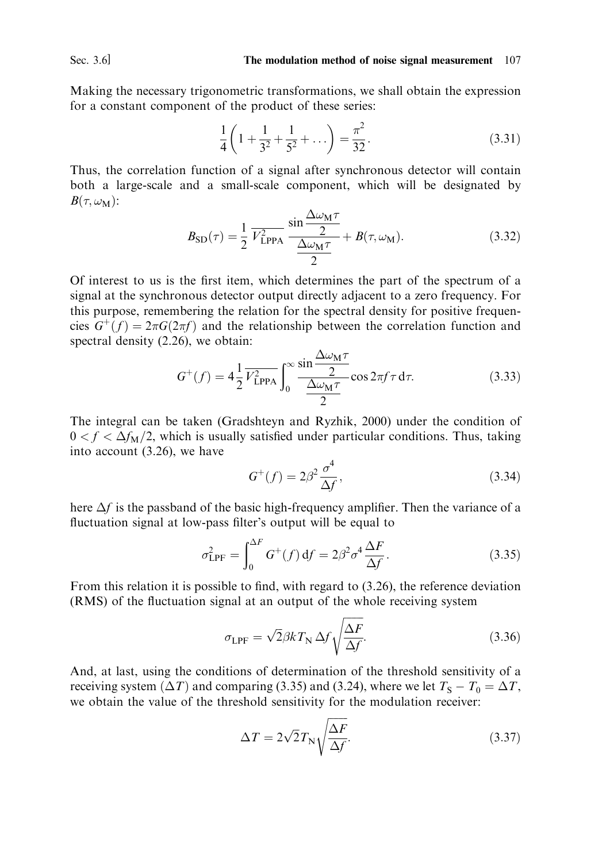Making the necessary trigonometric transformations, we shall obtain the expression for a constant component of the product of these series:

$$
\frac{1}{4}\left(1+\frac{1}{3^2}+\frac{1}{5^2}+\dots\right) = \frac{\pi^2}{32}.
$$
\n(3.31)

Thus, the correlation function of a signal after synchronous detector will contain both a large-scale and a small-scale component, which will be designated by  $B(\tau, \omega_{\mathbf{M}})$ :

$$
B_{\text{SD}}(\tau) = \frac{1}{2} \frac{1}{V_{\text{LPPA}}^2} \frac{\sin \frac{\Delta \omega_{\text{M}} \tau}{2}}{\frac{\Delta \omega_{\text{M}} \tau}{2}} + B(\tau, \omega_{\text{M}}). \tag{3.32}
$$

Of interest to us is the first item, which determines the part of the spectrum of a signal at the synchronous detector output directly adjacent to a zero frequency. For this purpose, remembering the relation for the spectral density for positive frequencies  $G^+(f) = 2\pi G(2\pi f)$  and the relationship between the correlation function and spectral density  $(2.26)$ , we obtain:

$$
G^{+}(f) = 4\frac{1}{2}\overline{V_{\text{LPPA}}^{2}} \int_{0}^{\infty} \frac{\sin\frac{\Delta\omega_{\text{M}}\tau}{2}}{\frac{\Delta\omega_{\text{M}}\tau}{2}} \cos 2\pi f \tau \,d\tau.
$$
 (3.33)

The integral can be taken (Gradshteyn and Ryzhik, 2000) under the condition of  $0 < f < \Delta f_{\rm M}/2$ , which is usually satisfied under particular conditions. Thus, taking into account  $(3.26)$ , we have

$$
G^+(f) = 2\beta^2 \frac{\sigma^4}{\Delta f},\tag{3.34}
$$

here  $\Delta f$  is the passband of the basic high-frequency amplifier. Then the variance of a fluctuation signal at low-pass filter's output will be equal to

$$
\sigma_{\text{LPF}}^2 = \int_0^{\Delta F} G^+(f) \, \mathrm{d}f = 2\beta^2 \sigma^4 \frac{\Delta F}{\Delta f}.\tag{3.35}
$$

From this relation it is possible to find, with regard to  $(3.26)$ , the reference deviation (RMS) of the fluctuation signal at an output of the whole receiving system

$$
\sigma_{\rm LPF} = \sqrt{2} \beta k T_{\rm N} \Delta f \sqrt{\frac{\Delta F}{\Delta f}}.
$$
\n(3.36)

And, at last, using the conditions of determination of the threshold sensitivity of a receiving system ( $\Delta T$ ) and comparing (3.35) and (3.24), where we let  $T_s - T_0 = \Delta T$ , we obtain the value of the threshold sensitivity for the modulation receiver:

$$
\Delta T = 2\sqrt{2}T_{\rm N}\sqrt{\frac{\Delta F}{\Delta f}}.\tag{3.37}
$$

Sec. 3.6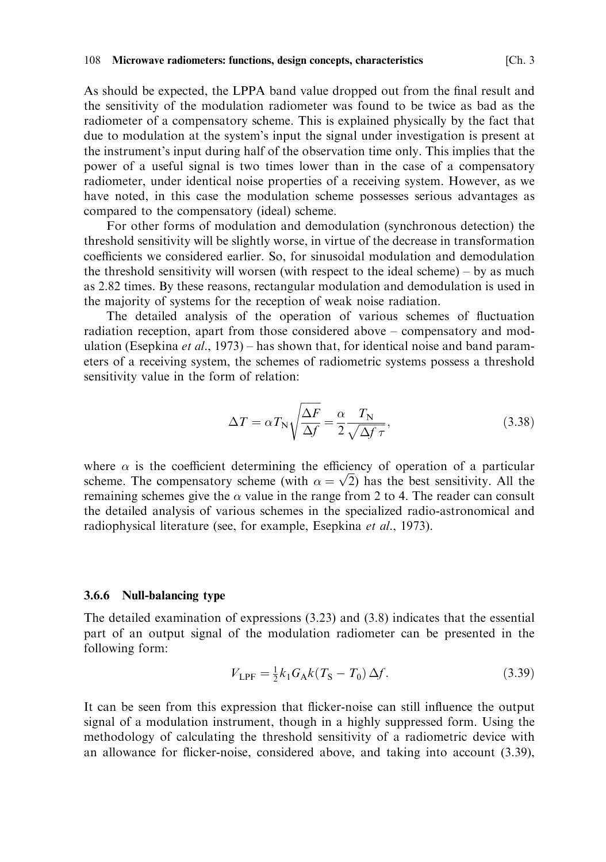As should be expected, the LPPA band value dropped out from the final result and the sensitivity of the modulation radiometer was found to be twice as bad as the radiometer of a compensatory scheme. This is explained physically by the fact that due to modulation at the system's input the signal under investigation is present at the instrument's input during half of the observation time only. This implies that the power of a useful signal is two times lower than in the case of a compensatory radiometer, under identical noise properties of a receiving system. However, as we have noted, in this case the modulation scheme possesses serious advantages as compared to the compensatory (ideal) scheme.

For other forms of modulation and demodulation (synchronous detection) the threshold sensitivity will be slightly worse, in virtue of the decrease in transformation coefficients we considered earlier. So, for sinusoidal modulation and demodulation the threshold sensitivity will worsen (with respect to the ideal scheme)  $-$  by as much as 2.82 times. By these reasons, rectangular modulation and demodulation is used in the majority of systems for the reception of weak noise radiation.

The detailed analysis of the operation of various schemes of fluctuation radiation reception, apart from those considered above – compensatory and modulation (Esepkina *et al.*, 1973) – has shown that, for identical noise and band parameters of a receiving system, the schemes of radiometric systems possess a threshold sensitivity value in the form of relation:

$$
\Delta T = \alpha T_{\rm N} \sqrt{\frac{\Delta F}{\Delta f}} = \frac{\alpha}{2} \frac{T_{\rm N}}{\sqrt{\Delta f \tau}},
$$
\n(3.38)

where  $\alpha$  is the coefficient determining the efficiency of operation of a particular scheme. The compensatory scheme (with  $\alpha = \sqrt{2}$ ) has the best sensitivity. All the remaining schemes give the  $\alpha$  value in the range from 2 to 4. The reader can consult the detailed analysis of various schemes in the specialized radio-astronomical and radiophysical literature (see, for example, Esepkina et al., 1973).

## 3.6.6 Null-balancing type

The detailed examination of expressions  $(3.23)$  and  $(3.8)$  indicates that the essential part of an output signal of the modulation radiometer can be presented in the following form:

$$
V_{\text{LPF}} = \frac{1}{2} k_1 G_{\text{A}} k (T_{\text{S}} - T_0) \Delta f. \tag{3.39}
$$

It can be seen from this expression that flicker-noise can still influence the output signal of a modulation instrument, though in a highly suppressed form. Using the methodology of calculating the threshold sensitivity of a radiometric device with an allowance for flicker-noise, considered above, and taking into account (3.39),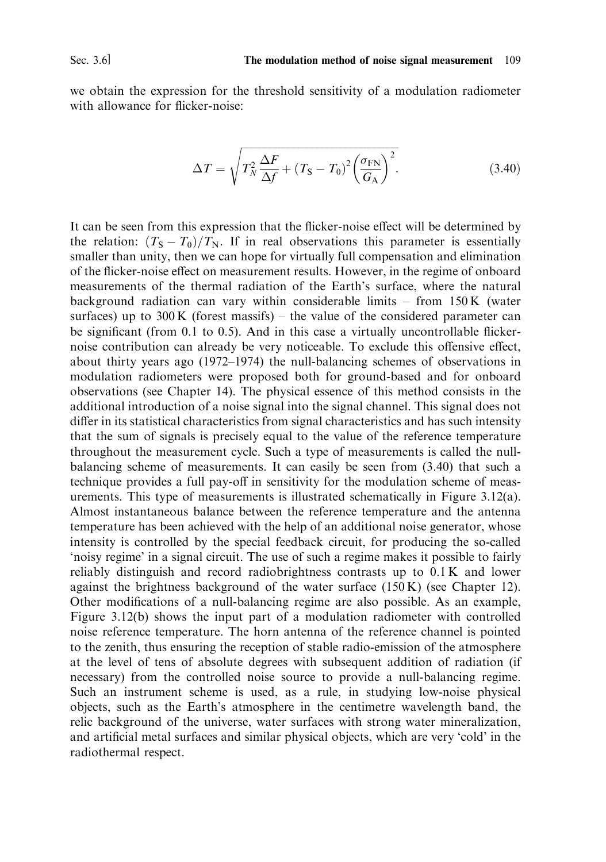we obtain the expression for the threshold sensitivity of a modulation radiometer with allowance for flicker-noise:

$$
\Delta T = \sqrt{T_N^2 \frac{\Delta F}{\Delta f} + (T_S - T_0)^2 \left(\frac{\sigma_{\rm FN}}{G_A}\right)^2}.
$$
\n(3.40)

It can be seen from this expression that the flicker-noise effect will be determined by the relation:  $(T_S - T_0)/T_N$ . If in real observations this parameter is essentially smaller than unity, then we can hope for virtually full compensation and elimination of the flicker-noise effect on measurement results. However, in the regime of onboard measurements of the thermal radiation of the Earth's surface, where the natural background radiation can vary within considerable limits - from  $150K$  (water surfaces) up to  $300 \text{ K}$  (forest massifs) – the value of the considered parameter can be significant (from  $0.1$  to  $0.5$ ). And in this case a virtually uncontrollable flickernoise contribution can already be very noticeable. To exclude this offensive effect, about thirty years ago  $(1972-1974)$  the null-balancing schemes of observations in modulation radiometers were proposed both for ground-based and for onboard observations (see Chapter 14). The physical essence of this method consists in the additional introduction of a noise signal into the signal channel. This signal does not differ in its statistical characteristics from signal characteristics and has such intensity that the sum of signals is precisely equal to the value of the reference temperature throughout the measurement cycle. Such a type of measurements is called the nullbalancing scheme of measurements. It can easily be seen from (3.40) that such a technique provides a full pay-off in sensitivity for the modulation scheme of measurements. This type of measurements is illustrated schematically in Figure 3.12(a). Almost instantaneous balance between the reference temperature and the antenna temperature has been achieved with the help of an additional noise generator, whose intensity is controlled by the special feedback circuit, for producing the so-called 'noisy regime' in a signal circuit. The use of such a regime makes it possible to fairly reliably distinguish and record radiobrightness contrasts up to 0.1 K and lower against the brightness background of the water surface  $(150K)$  (see Chapter 12). Other modifications of a null-balancing regime are also possible. As an example, Figure 3.12(b) shows the input part of a modulation radiometer with controlled noise reference temperature. The horn antenna of the reference channel is pointed to the zenith, thus ensuring the reception of stable radio-emission of the atmosphere at the level of tens of absolute degrees with subsequent addition of radiation (if necessary) from the controlled noise source to provide a null-balancing regime. Such an instrument scheme is used, as a rule, in studying low-noise physical objects, such as the Earth's atmosphere in the centimetre wavelength band, the relic background of the universe, water surfaces with strong water mineralization, and artificial metal surfaces and similar physical objects, which are very 'cold' in the radiothermal respect.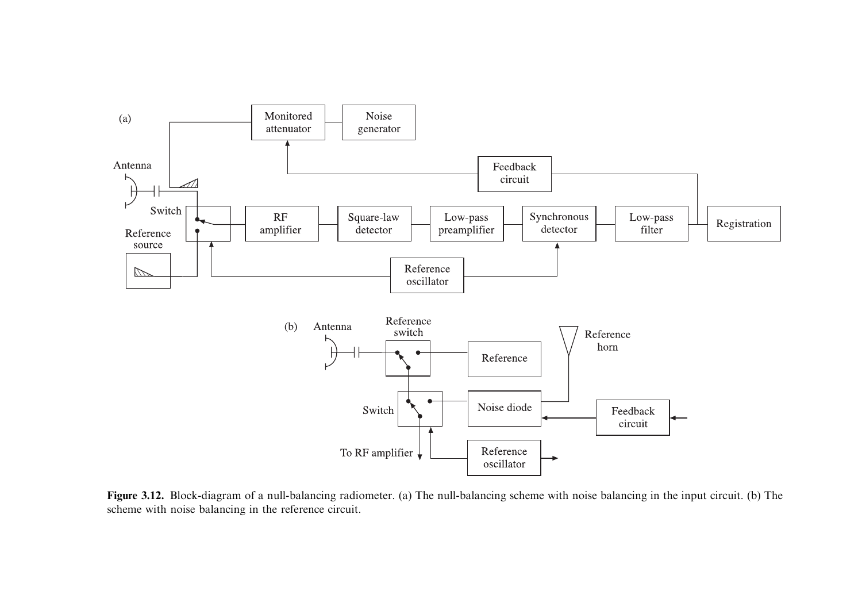

Figure 3.12. Block-diagram of a null-balancing radiometer. (a) The null-balancing scheme with noise balancing in the input circuit. (b) The scheme with noise balancing in the reference circuit.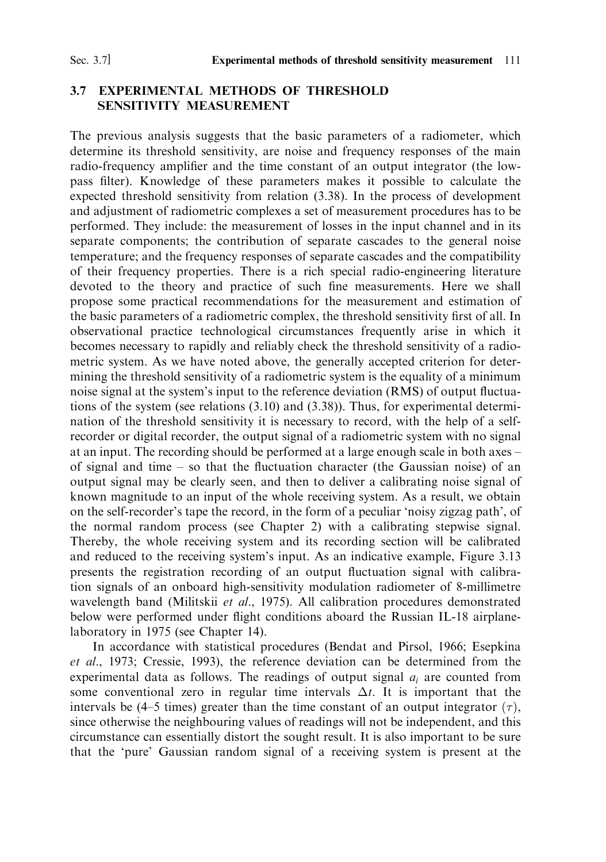# 3.7 EXPERIMENTAL METHODS OF THRESHOLD **SENSITIVITY MEASUREMENT**

The previous analysis suggests that the basic parameters of a radiometer, which determine its threshold sensitivity, are noise and frequency responses of the main radio-frequency amplifier and the time constant of an output integrator (the lowpass filter). Knowledge of these parameters makes it possible to calculate the expected threshold sensitivity from relation (3.38). In the process of development and adjustment of radiometric complexes a set of measurement procedures has to be performed. They include: the measurement of losses in the input channel and in its separate components; the contribution of separate cascades to the general noise temperature; and the frequency responses of separate cascades and the compatibility of their frequency properties. There is a rich special radio-engineering literature devoted to the theory and practice of such fine measurements. Here we shall propose some practical recommendations for the measurement and estimation of the basic parameters of a radiometric complex, the threshold sensitivity first of all. In observational practice technological circumstances frequently arise in which it becomes necessary to rapidly and reliably check the threshold sensitivity of a radiometric system. As we have noted above, the generally accepted criterion for determining the threshold sensitivity of a radiometric system is the equality of a minimum noise signal at the system's input to the reference deviation (RMS) of output fluctuations of the system (see relations  $(3.10)$  and  $(3.38)$ ). Thus, for experimental determination of the threshold sensitivity it is necessary to record, with the help of a selfrecorder or digital recorder, the output signal of a radiometric system with no signal at an input. The recording should be performed at a large enough scale in both axes – of signal and time  $-$  so that the fluctuation character (the Gaussian noise) of an output signal may be clearly seen, and then to deliver a calibrating noise signal of known magnitude to an input of the whole receiving system. As a result, we obtain on the self-recorder's tape the record, in the form of a peculiar 'noisy zigzag path', of the normal random process (see Chapter 2) with a calibrating stepwise signal. Thereby, the whole receiving system and its recording section will be calibrated and reduced to the receiving system's input. As an indicative example, Figure 3.13 presents the registration recording of an output fluctuation signal with calibration signals of an onboard high-sensitivity modulation radiometer of 8-millimetre wavelength band (Militskii et al., 1975). All calibration procedures demonstrated below were performed under flight conditions aboard the Russian IL-18 airplanelaboratory in 1975 (see Chapter 14).

In accordance with statistical procedures (Bendat and Pirsol, 1966; Esepkina et al., 1973; Cressie, 1993), the reference deviation can be determined from the experimental data as follows. The readings of output signal  $a_i$  are counted from some conventional zero in regular time intervals  $\Delta t$ . It is important that the intervals be (4–5 times) greater than the time constant of an output integrator  $(\tau)$ , since otherwise the neighbouring values of readings will not be independent, and this circumstance can essentially distort the sought result. It is also important to be sure that the 'pure' Gaussian random signal of a receiving system is present at the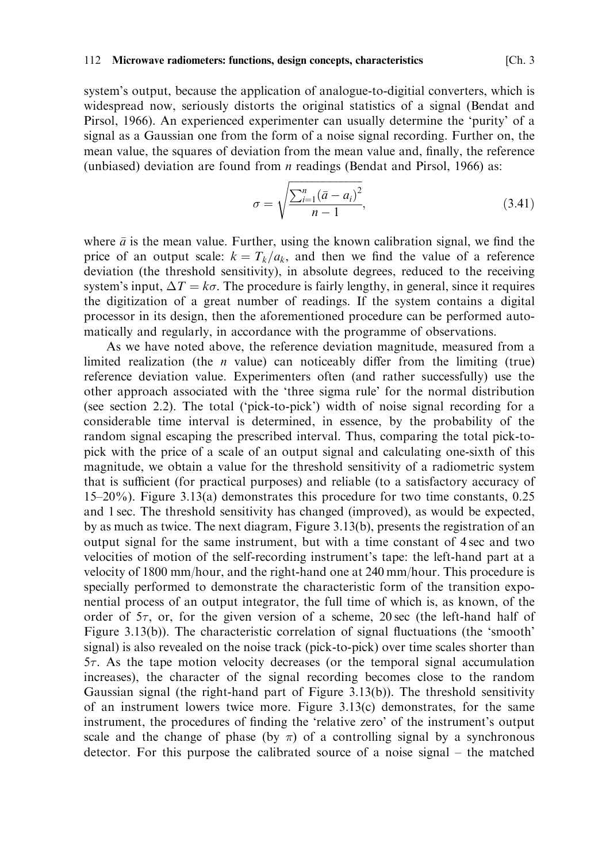system's output, because the application of analogue-to-digitial converters, which is widespread now, seriously distorts the original statistics of a signal (Bendat and Pirsol, 1966). An experienced experimenter can usually determine the 'purity' of a signal as a Gaussian one from the form of a noise signal recording. Further on, the mean value, the squares of deviation from the mean value and, finally, the reference (unbiased) deviation are found from  $n$  readings (Bendat and Pirsol, 1966) as:

$$
\sigma = \sqrt{\frac{\sum_{i=1}^{n} (\bar{a} - a_i)^2}{n - 1}},\tag{3.41}
$$

where  $\bar{a}$  is the mean value. Further, using the known calibration signal, we find the price of an output scale:  $k = T_k/a_k$ , and then we find the value of a reference deviation (the threshold sensitivity), in absolute degrees, reduced to the receiving system's input,  $\Delta T = k\sigma$ . The procedure is fairly lengthy, in general, since it requires the digitization of a great number of readings. If the system contains a digital processor in its design, then the aforementioned procedure can be performed automatically and regularly, in accordance with the programme of observations.

As we have noted above, the reference deviation magnitude, measured from a limited realization (the  $n$  value) can noticeably differ from the limiting (true) reference deviation value. Experimenters often (and rather successfully) use the other approach associated with the 'three sigma rule' for the normal distribution (see section 2.2). The total ('pick-to-pick') width of noise signal recording for a considerable time interval is determined, in essence, by the probability of the random signal escaping the prescribed interval. Thus, comparing the total pick-topick with the price of a scale of an output signal and calculating one-sixth of this magnitude, we obtain a value for the threshold sensitivity of a radiometric system that is sufficient (for practical purposes) and reliable (to a satisfactory accuracy of 15–20%). Figure 3.13(a) demonstrates this procedure for two time constants, 0.25 and 1 sec. The threshold sensitivity has changed (improved), as would be expected, by as much as twice. The next diagram, Figure 3.13(b), presents the registration of an output signal for the same instrument, but with a time constant of 4 sec and two velocities of motion of the self-recording instrument's tape: the left-hand part at a velocity of 1800 mm/hour, and the right-hand one at 240 mm/hour. This procedure is specially performed to demonstrate the characteristic form of the transition exponential process of an output integrator, the full time of which is, as known, of the order of  $5\tau$ , or, for the given version of a scheme, 20 sec (the left-hand half of Figure 3.13(b)). The characteristic correlation of signal fluctuations (the 'smooth' signal) is also revealed on the noise track (pick-to-pick) over time scales shorter than  $5\tau$ . As the tape motion velocity decreases (or the temporal signal accumulation increases), the character of the signal recording becomes close to the random Gaussian signal (the right-hand part of Figure  $3.13(b)$ ). The threshold sensitivity of an instrument lowers twice more. Figure 3.13(c) demonstrates, for the same instrument, the procedures of finding the 'relative zero' of the instrument's output scale and the change of phase (by  $\pi$ ) of a controlling signal by a synchronous detector. For this purpose the calibrated source of a noise signal – the matched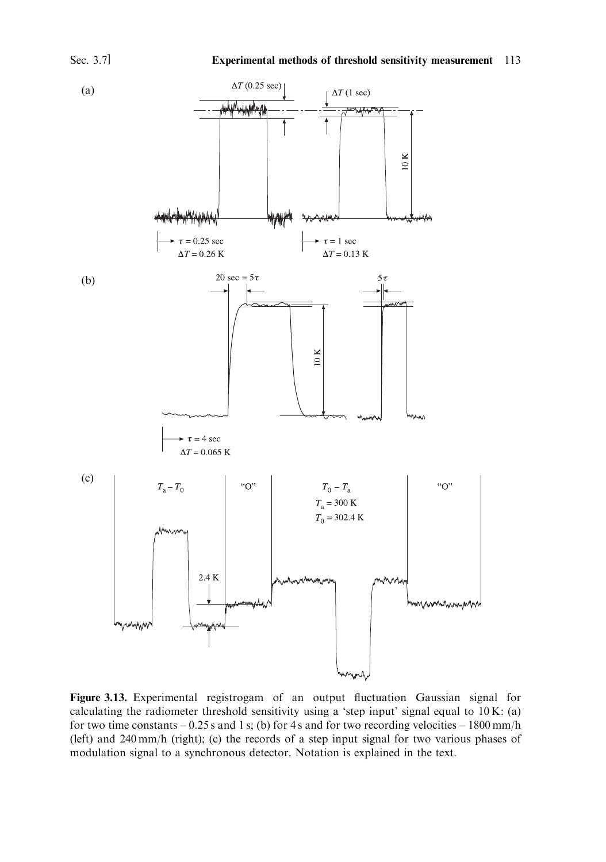

Figure 3.13. Experimental registrogam of an output fluctuation Gaussian signal for calculating the radiometer threshold sensitivity using a 'step input' signal equal to 10K: (a) for two time constants – 0.25 s and 1 s; (b) for 4 s and for two recording velocities – 1800 mm/h (left) and 240 mm/h (right); (c) the records of a step input signal for two various phases of modulation signal to a synchronous detector. Notation is explained in the text.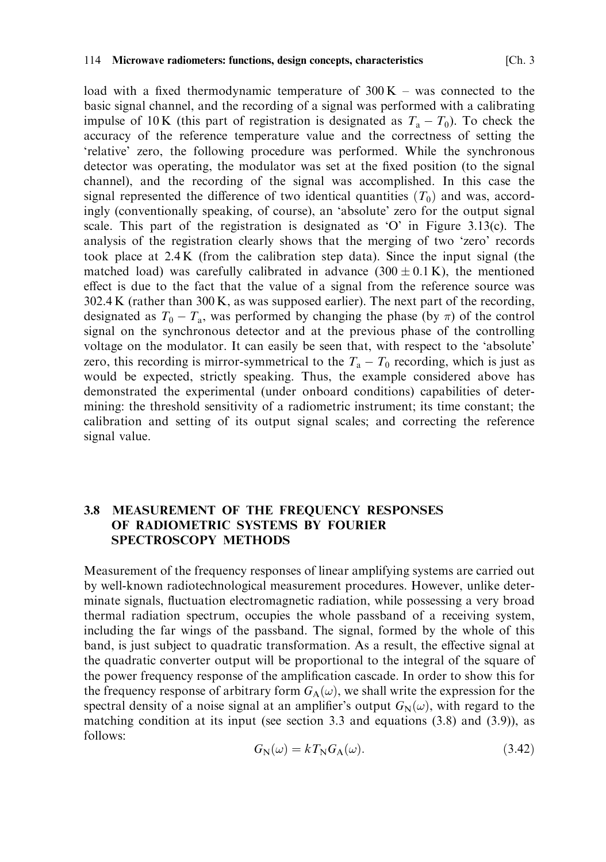load with a fixed thermodynamic temperature of  $300 K -$  was connected to the basic signal channel, and the recording of a signal was performed with a calibrating impulse of 10 K (this part of registration is designated as  $T_a - T_0$ ). To check the accuracy of the reference temperature value and the correctness of setting the 'relative' zero, the following procedure was performed. While the synchronous detector was operating, the modulator was set at the fixed position (to the signal channel), and the recording of the signal was accomplished. In this case the signal represented the difference of two identical quantities  $(T_0)$  and was, accordingly (conventionally speaking, of course), an 'absolute' zero for the output signal scale. This part of the registration is designated as 'O' in Figure  $3.13(c)$ . The analysis of the registration clearly shows that the merging of two 'zero' records took place at 2.4 K (from the calibration step data). Since the input signal (the matched load) was carefully calibrated in advance  $(300 \pm 0.1 \text{ K})$ , the mentioned effect is due to the fact that the value of a signal from the reference source was 302.4 K (rather than 300 K, as was supposed earlier). The next part of the recording, designated as  $T_0 - T_a$ , was performed by changing the phase (by  $\pi$ ) of the control signal on the synchronous detector and at the previous phase of the controlling voltage on the modulator. It can easily be seen that, with respect to the 'absolute' zero, this recording is mirror-symmetrical to the  $T_a - T_0$  recording, which is just as would be expected, strictly speaking. Thus, the example considered above has demonstrated the experimental (under onboard conditions) capabilities of determining: the threshold sensitivity of a radiometric instrument; its time constant; the calibration and setting of its output signal scales; and correcting the reference signal value.

# 3.8 MEASUREMENT OF THE FREQUENCY RESPONSES OF RADIOMETRIC SYSTEMS BY FOURIER **SPECTROSCOPY METHODS**

Measurement of the frequency responses of linear amplifying systems are carried out by well-known radiotechnological measurement procedures. However, unlike determinate signals, fluctuation electromagnetic radiation, while possessing a very broad thermal radiation spectrum, occupies the whole passband of a receiving system, including the far wings of the passband. The signal, formed by the whole of this band, is just subject to quadratic transformation. As a result, the effective signal at the quadratic converter output will be proportional to the integral of the square of the power frequency response of the amplification cascade. In order to show this for the frequency response of arbitrary form  $G_A(\omega)$ , we shall write the expression for the spectral density of a noise signal at an amplifier's output  $G_N(\omega)$ , with regard to the matching condition at its input (see section 3.3 and equations  $(3.8)$  and  $(3.9)$ ), as follows:

$$
G_{\rm N}(\omega) = kT_{\rm N}G_{\rm A}(\omega). \tag{3.42}
$$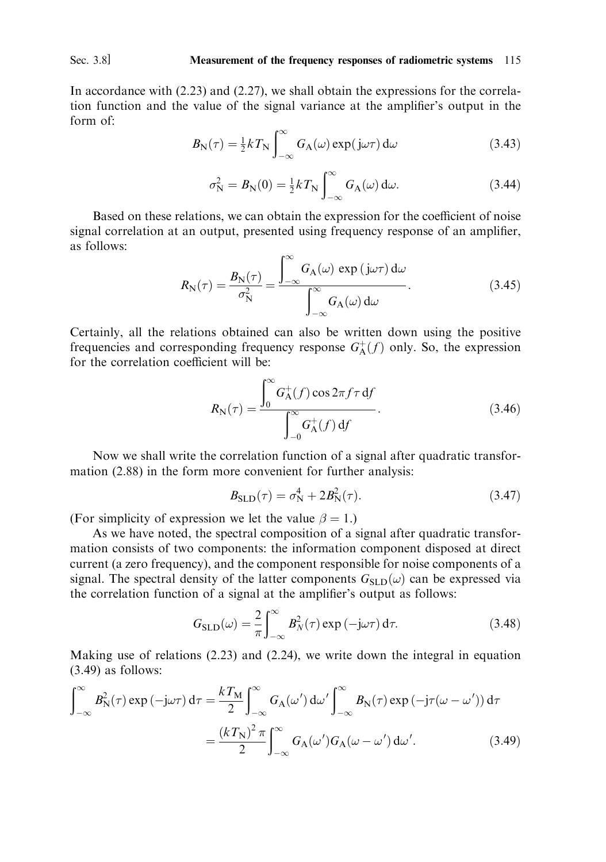In accordance with  $(2.23)$  and  $(2.27)$ , we shall obtain the expressions for the correlation function and the value of the signal variance at the amplifier's output in the form of $\cdot$ 

$$
B_{\rm N}(\tau) = \frac{1}{2} k T_{\rm N} \int_{-\infty}^{\infty} G_{\rm A}(\omega) \exp(j\omega \tau) d\omega \qquad (3.43)
$$

$$
\sigma_N^2 = B_N(0) = \frac{1}{2}kT_N \int_{-\infty}^{\infty} G_A(\omega) d\omega.
$$
 (3.44)

Based on these relations, we can obtain the expression for the coefficient of noise signal correlation at an output, presented using frequency response of an amplifier, as follows:

$$
R_{\rm N}(\tau) = \frac{B_{\rm N}(\tau)}{\sigma_{\rm N}^2} = \frac{\int_{-\infty}^{\infty} G_{\rm A}(\omega) \exp(i\omega\tau) d\omega}{\int_{-\infty}^{\infty} G_{\rm A}(\omega) d\omega}.
$$
 (3.45)

Certainly, all the relations obtained can also be written down using the positive frequencies and corresponding frequency response  $G_A^+(f)$  only. So, the expression for the correlation coefficient will be

$$
R_{\rm N}(\tau) = \frac{\int_0^\infty G_{\rm A}^+(f) \cos 2\pi f \tau \, \mathrm{d}f}{\int_{-0}^\infty G_{\rm A}^+(f) \, \mathrm{d}f}.\tag{3.46}
$$

Now we shall write the correlation function of a signal after quadratic transformation (2.88) in the form more convenient for further analysis:

$$
B_{\text{SLD}}(\tau) = \sigma_N^4 + 2B_N^2(\tau). \tag{3.47}
$$

(For simplicity of expression we let the value  $\beta = 1$ .)

As we have noted, the spectral composition of a signal after quadratic transformation consists of two components: the information component disposed at direct current (a zero frequency), and the component responsible for noise components of a signal. The spectral density of the latter components  $G<sub>SLD</sub>(\omega)$  can be expressed via the correlation function of a signal at the amplifier's output as follows:

$$
G_{\text{SLD}}(\omega) = \frac{2}{\pi} \int_{-\infty}^{\infty} B_N^2(\tau) \exp(-j\omega\tau) d\tau.
$$
 (3.48)

Making use of relations  $(2.23)$  and  $(2.24)$ , we write down the integral in equation  $(3.49)$  as follows:

$$
\int_{-\infty}^{\infty} B_{\rm N}^2(\tau) \exp\left(-j\omega\tau\right) d\tau = \frac{kT_{\rm M}}{2} \int_{-\infty}^{\infty} G_{\rm A}(\omega') d\omega' \int_{-\infty}^{\infty} B_{\rm N}(\tau) \exp\left(-j\tau(\omega-\omega')\right) d\tau
$$

$$
= \frac{(kT_{\rm N})^2 \pi}{2} \int_{-\infty}^{\infty} G_{\rm A}(\omega') G_{\rm A}(\omega-\omega') d\omega'. \tag{3.49}
$$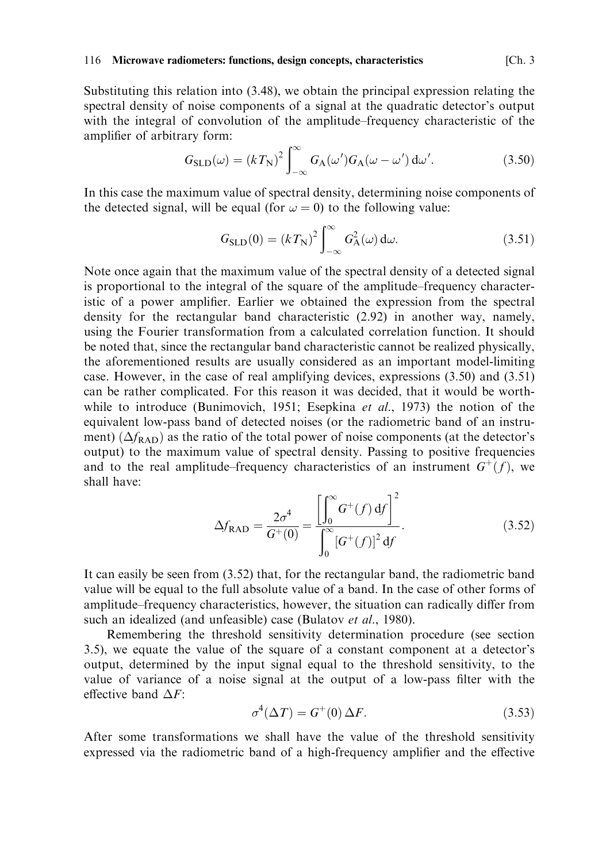Substituting this relation into  $(3.48)$ , we obtain the principal expression relating the spectral density of noise components of a signal at the quadratic detector's output with the integral of convolution of the amplitude–frequency characteristic of the amplifier of arbitrary form:

$$
GSLD(\omega) = (kTN)2 \int_{-\infty}^{\infty} GA(\omega') GA(\omega - \omega') d\omega'.
$$
 (3.50)

In this case the maximum value of spectral density, determining noise components of the detected signal, will be equal (for  $\omega = 0$ ) to the following value:

$$
GSLD(0) = (kTN)2 \int_{-\infty}^{\infty} GA2(\omega) d\omega.
$$
 (3.51)

Note once again that the maximum value of the spectral density of a detected signal is proportional to the integral of the square of the amplitude-frequency characteristic of a power amplifier. Earlier we obtained the expression from the spectral density for the rectangular band characteristic (2.92) in another way, namely, using the Fourier transformation from a calculated correlation function. It should be noted that, since the rectangular band characteristic cannot be realized physically, the aforementioned results are usually considered as an important model-limiting case. However, in the case of real amplifying devices, expressions (3.50) and (3.51) can be rather complicated. For this reason it was decided, that it would be worthwhile to introduce (Bunimovich, 1951; Esepkina *et al.*, 1973) the notion of the equivalent low-pass band of detected noises (or the radiometric band of an instrument) ( $\Delta f_{\rm RAD}$ ) as the ratio of the total power of noise components (at the detector's output) to the maximum value of spectral density. Passing to positive frequencies and to the real amplitude–frequency characteristics of an instrument  $G^+(f)$ , we shall have:

$$
\Delta f_{\rm RAD} = \frac{2\sigma^4}{G^+(0)} = \frac{\left| \int_0^\infty G^+(f) \, df \right|^2}{\int_0^\infty [G^+(f)]^2 \, df}.
$$
\n(3.52)

It can easily be seen from (3.52) that, for the rectangular band, the radiometric band value will be equal to the full absolute value of a band. In the case of other forms of amplitude–frequency characteristics, however, the situation can radically differ from such an idealized (and unfeasible) case (Bulatov et al., 1980).

Remembering the threshold sensitivity determination procedure (see section 3.5), we equate the value of the square of a constant component at a detector's output, determined by the input signal equal to the threshold sensitivity, to the value of variance of a noise signal at the output of a low-pass filter with the effective band  $\Delta F$ :

$$
\sigma^4(\Delta T) = G^+(0)\,\Delta F.\tag{3.53}
$$

After some transformations we shall have the value of the threshold sensitivity expressed via the radiometric band of a high-frequency amplifier and the effective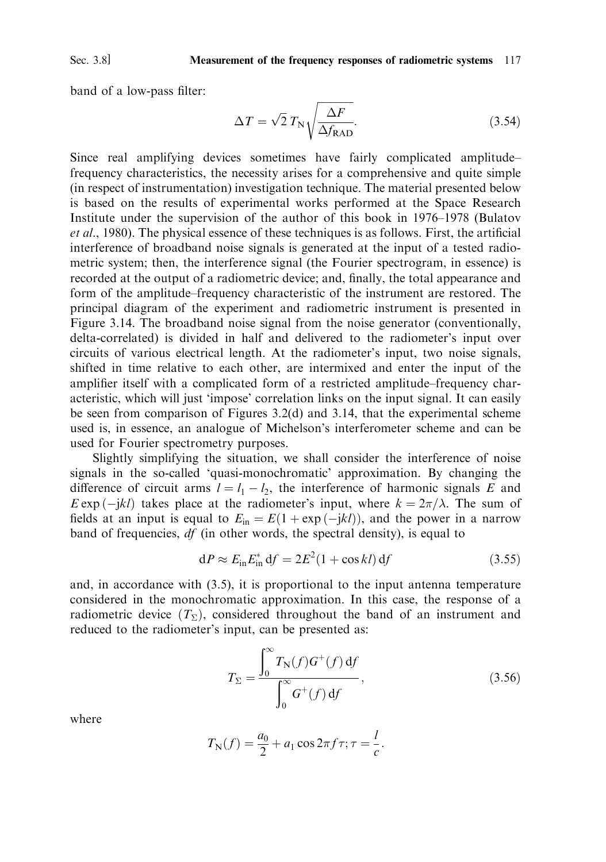Sec. 3.8]

band of a low-pass filter:

$$
\Delta T = \sqrt{2} T_{\rm N} \sqrt{\frac{\Delta F}{\Delta f_{\rm RAD}}}.\tag{3.54}
$$

Since real amplifying devices sometimes have fairly complicated amplitudefrequency characteristics, the necessity arises for a comprehensive and quite simple (in respect of instrumentation) investigation technique. The material presented below is based on the results of experimental works performed at the Space Research Institute under the supervision of the author of this book in 1976–1978 (Bulatov et al., 1980). The physical essence of these techniques is as follows. First, the artificial interference of broadband noise signals is generated at the input of a tested radiometric system; then, the interference signal (the Fourier spectrogram, in essence) is recorded at the output of a radiometric device; and, finally, the total appearance and form of the amplitude–frequency characteristic of the instrument are restored. The principal diagram of the experiment and radiometric instrument is presented in Figure 3.14. The broadband noise signal from the noise generator (conventionally, delta-correlated) is divided in half and delivered to the radiometer's input over circuits of various electrical length. At the radiometer's input, two noise signals, shifted in time relative to each other, are intermixed and enter the input of the amplifier itself with a complicated form of a restricted amplitude-frequency characteristic, which will just 'impose' correlation links on the input signal. It can easily be seen from comparison of Figures 3.2(d) and 3.14, that the experimental scheme used is, in essence, an analogue of Michelson's interferometer scheme and can be used for Fourier spectrometry purposes.

Slightly simplifying the situation, we shall consider the interference of noise signals in the so-called 'quasi-monochromatic' approximation. By changing the difference of circuit arms  $l = l_1 - l_2$ , the interference of harmonic signals E and  $E \exp(-jkl)$  takes place at the radiometer's input, where  $k = 2\pi/\lambda$ . The sum of fields at an input is equal to  $E_{\text{in}} = E(1 + \exp(-jkl))$ , and the power in a narrow band of frequencies,  $df$  (in other words, the spectral density), is equal to

$$
dP \approx E_{\rm in} E_{\rm in}^* df = 2E^2 (1 + \cos kl) df \tag{3.55}
$$

and, in accordance with  $(3.5)$ , it is proportional to the input antenna temperature considered in the monochromatic approximation. In this case, the response of a radiometric device  $(T_{\Sigma})$ , considered throughout the band of an instrument and reduced to the radiometer's input, can be presented as:

$$
T_{\Sigma} = \frac{\int_0^{\infty} T_{\mathcal{N}}(f) G^+(f) df}{\int_0^{\infty} G^+(f) df},
$$
\n(3.56)

where

$$
T_{\rm N}(f) = \frac{a_0}{2} + a_1 \cos 2\pi f \tau; \tau = \frac{l}{c}.
$$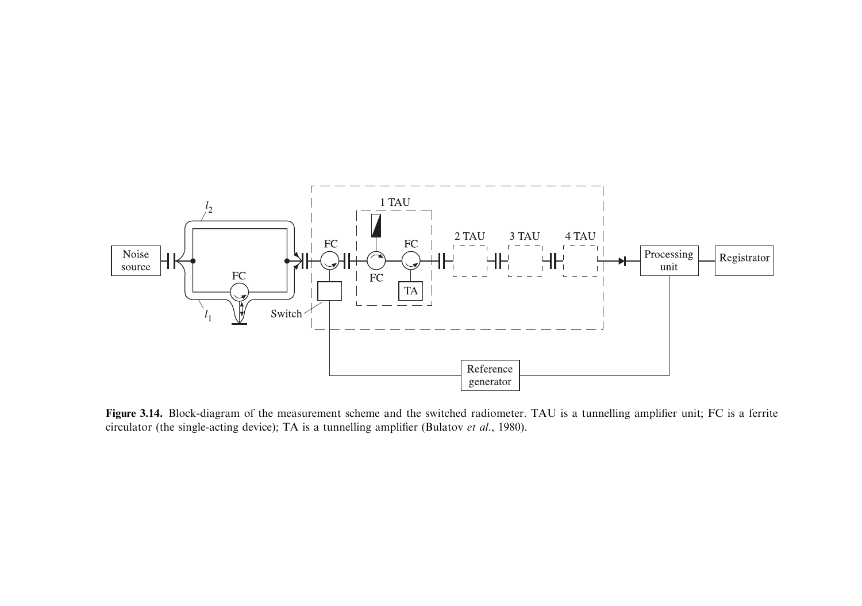

Figure 3.14. Block-diagram of the measurement scheme and the switched radiometer. TAU is a tunnelling amplifier unit; FC is a ferrite circulator (the single-acting device); TA is a tunnelling amplifier (Bulatov et al., 1980).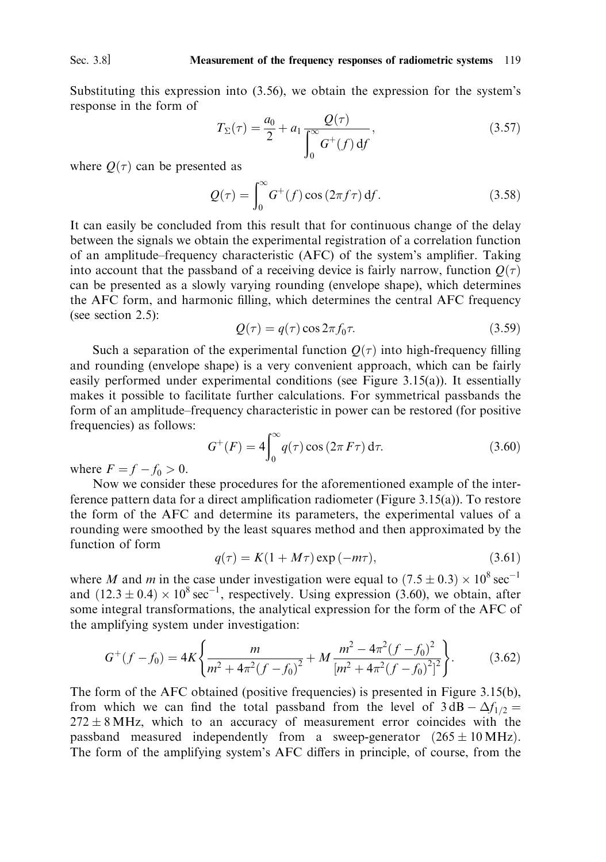Sec. 3.8]

Substituting this expression into  $(3.56)$ , we obtain the expression for the system's response in the form of

$$
T_{\Sigma}(\tau) = \frac{a_0}{2} + a_1 \frac{Q(\tau)}{\int_0^{\infty} G^+(f) \, df},
$$
\n(3.57)

where  $Q(\tau)$  can be presented as

$$
Q(\tau) = \int_0^\infty G^+(f) \cos(2\pi f \tau) \, df. \tag{3.58}
$$

It can easily be concluded from this result that for continuous change of the delay between the signals we obtain the experimental registration of a correlation function of an amplitude–frequency characteristic (AFC) of the system's amplifier. Taking into account that the passband of a receiving device is fairly narrow, function  $O(\tau)$ can be presented as a slowly varying rounding (envelope shape), which determines the AFC form, and harmonic filling, which determines the central AFC frequency (see section  $2.5$ ):

$$
Q(\tau) = q(\tau)\cos 2\pi f_0 \tau. \tag{3.59}
$$

Such a separation of the experimental function  $Q(\tau)$  into high-frequency filling and rounding (envelope shape) is a very convenient approach, which can be fairly easily performed under experimental conditions (see Figure 3.15(a)). It essentially makes it possible to facilitate further calculations. For symmetrical passbands the form of an amplitude–frequency characteristic in power can be restored (for positive frequencies) as follows:

$$
G^+(F) = 4 \int_0^\infty q(\tau) \cos(2\pi F \tau) d\tau.
$$
 (3.60)

where  $F = f - f_0 > 0$ .

Now we consider these procedures for the aforementioned example of the interference pattern data for a direct amplification radiometer (Figure  $3.15(a)$ ). To restore the form of the AFC and determine its parameters, the experimental values of a rounding were smoothed by the least squares method and then approximated by the function of form

$$
q(\tau) = K(1 + M\tau) \exp(-m\tau), \qquad (3.61)
$$

where M and m in the case under investigation were equal to  $(7.5 \pm 0.3) \times 10^8 \text{ sec}^{-1}$ and  $(12.3 \pm 0.4) \times 10^8$  sec<sup>-1</sup>, respectively. Using expression (3.60), we obtain, after some integral transformations, the analytical expression for the form of the AFC of the amplifying system under investigation:

$$
G^{+}(f - f_0) = 4K \left\{ \frac{m}{m^2 + 4\pi^2 (f - f_0)^2} + M \frac{m^2 - 4\pi^2 (f - f_0)^2}{[m^2 + 4\pi^2 (f - f_0)^2]^2} \right\}.
$$
 (3.62)

The form of the AFC obtained (positive frequencies) is presented in Figure 3.15(b), from which we can find the total passband from the level of  $3 dB - \Delta f_{1/2} =$  $272 \pm 8$  MHz, which to an accuracy of measurement error coincides with the passband measured independently from a sweep-generator  $(265 \pm 10 \text{ MHz})$ . The form of the amplifying system's AFC differs in principle, of course, from the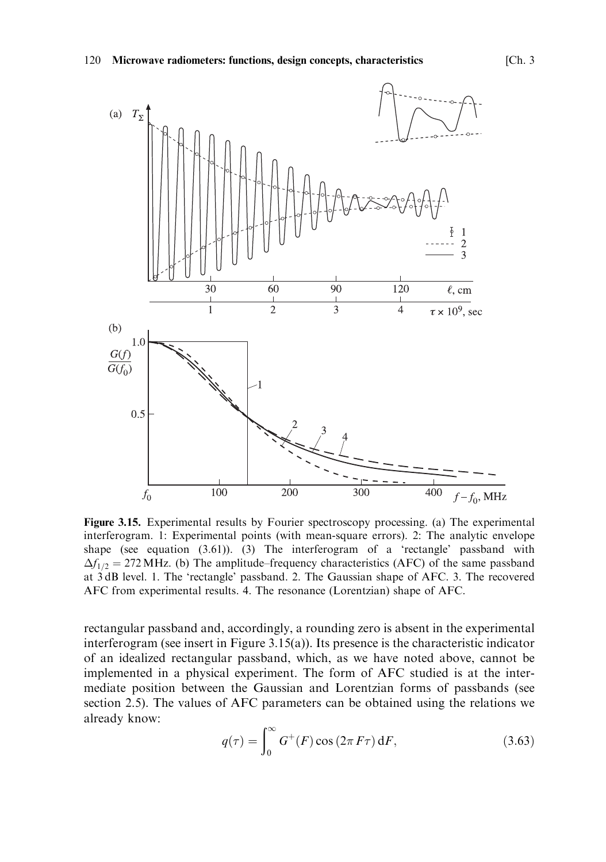

Figure 3.15. Experimental results by Fourier spectroscopy processing. (a) The experimental interferogram. 1: Experimental points (with mean-square errors). 2: The analytic envelope shape (see equation  $(3.61)$ ). (3) The interferogram of a 'rectangle' passband with  $\Delta f_{1/2} = 272 \text{ MHz}$ . (b) The amplitude–frequency characteristics (AFC) of the same passband at 3 dB level. 1. The 'rectangle' passband. 2. The Gaussian shape of AFC. 3. The recovered AFC from experimental results. 4. The resonance (Lorentzian) shape of AFC.

rectangular passband and, accordingly, a rounding zero is absent in the experimental interferogram (see insert in Figure 3.15(a)). Its presence is the characteristic indicator of an idealized rectangular passband, which, as we have noted above, cannot be implemented in a physical experiment. The form of AFC studied is at the intermediate position between the Gaussian and Lorentzian forms of passbands (see section 2.5). The values of AFC parameters can be obtained using the relations we already know:

$$
q(\tau) = \int_0^\infty G^+(F) \cos(2\pi F \tau) dF,
$$
\n(3.63)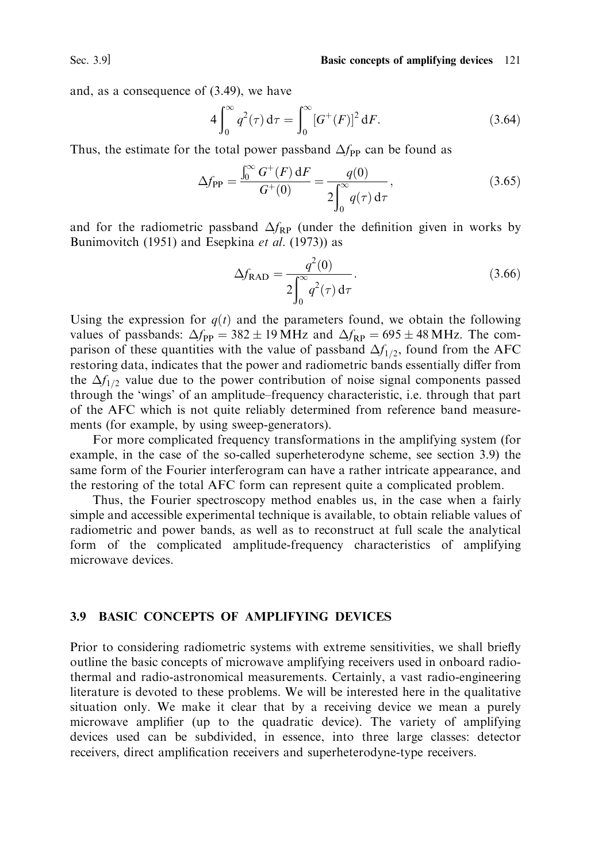Basic concepts of amplifying devices 121

and, as a consequence of (3.49), we have

$$
4\int_0^\infty q^2(\tau) d\tau = \int_0^\infty [G^+(F)]^2 dF.
$$
 (3.64)

Thus, the estimate for the total power passband  $\Delta f_{PP}$  can be found as

$$
\Delta f_{\rm PP} = \frac{\int_0^\infty G^+(F) \, \mathrm{d}F}{G^+(0)} = \frac{q(0)}{2 \int_0^\infty q(\tau) \, \mathrm{d}\tau},\tag{3.65}
$$

and for the radiometric passband  $\Delta f_{RP}$  (under the definition given in works by Bunimovitch (1951) and Esepkina et al. (1973)) as

$$
\Delta f_{\rm RAD} = \frac{q^2(0)}{2\int_0^\infty q^2(\tau) d\tau}.\tag{3.66}
$$

Using the expression for  $q(t)$  and the parameters found, we obtain the following values of passbands:  $\Delta f_{PP} = 382 \pm 19 \text{ MHz}$  and  $\Delta f_{RP} = 695 \pm 48 \text{ MHz}$ . The comparison of these quantities with the value of passband  $\Delta f_{1/2}$ , found from the AFC restoring data, indicates that the power and radiometric bands essentially differ from the  $\Delta f_{1/2}$  value due to the power contribution of noise signal components passed through the 'wings' of an amplitude–frequency characteristic, i.e. through that part of the AFC which is not quite reliably determined from reference band measurements (for example, by using sweep-generators).

For more complicated frequency transformations in the amplifying system (for example, in the case of the so-called superheterodyne scheme, see section 3.9) the same form of the Fourier interferogram can have a rather intricate appearance, and the restoring of the total AFC form can represent quite a complicated problem.

Thus, the Fourier spectroscopy method enables us, in the case when a fairly simple and accessible experimental technique is available, to obtain reliable values of radiometric and power bands, as well as to reconstruct at full scale the analytical form of the complicated amplitude-frequency characteristics of amplifying microwave devices.

# **3.9 BASIC CONCEPTS OF AMPLIFYING DEVICES**

Prior to considering radiometric systems with extreme sensitivities, we shall briefly outline the basic concepts of microwave amplifying receivers used in onboard radiothermal and radio-astronomical measurements. Certainly, a vast radio-engineering literature is devoted to these problems. We will be interested here in the qualitative situation only. We make it clear that by a receiving device we mean a purely microwave amplifier (up to the quadratic device). The variety of amplifying devices used can be subdivided, in essence, into three large classes: detector receivers, direct amplification receivers and superheterodyne-type receivers.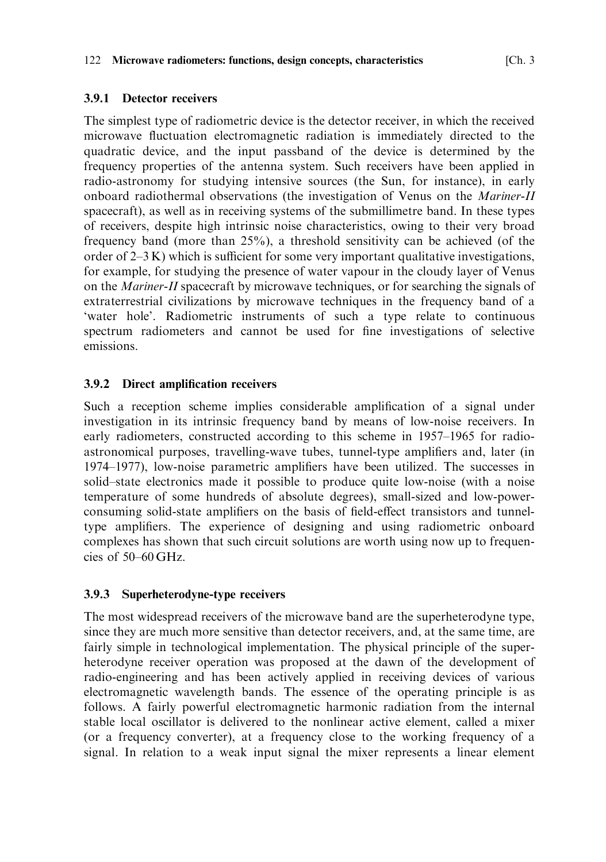# 3.9.1 Detector receivers

The simplest type of radiometric device is the detector receiver, in which the received microwave fluctuation electromagnetic radiation is immediately directed to the quadratic device, and the input passband of the device is determined by the frequency properties of the antenna system. Such receivers have been applied in radio-astronomy for studying intensive sources (the Sun, for instance), in early onboard radiothermal observations (the investigation of Venus on the Mariner-II spacecraft), as well as in receiving systems of the submillimetre band. In these types of receivers, despite high intrinsic noise characteristics, owing to their very broad frequency band (more than 25%), a threshold sensitivity can be achieved (of the order of  $2-3 K$ ) which is sufficient for some very important qualitative investigations, for example, for studying the presence of water vapour in the cloudy layer of Venus on the *Mariner-II* spacecraft by microwave techniques, or for searching the signals of extraterrestrial civilizations by microwave techniques in the frequency band of a 'water hole'. Radiometric instruments of such a type relate to continuous spectrum radiometers and cannot be used for fine investigations of selective emissions.

# 3.9.2 Direct amplification receivers

Such a reception scheme implies considerable amplification of a signal under investigation in its intrinsic frequency band by means of low-noise receivers. In early radiometers, constructed according to this scheme in 1957–1965 for radioastronomical purposes, travelling-wave tubes, tunnel-type amplifiers and, later (in 1974–1977), low-noise parametric amplifiers have been utilized. The successes in solid-state electronics made it possible to produce quite low-noise (with a noise temperature of some hundreds of absolute degrees), small-sized and low-powerconsuming solid-state amplifiers on the basis of field-effect transistors and tunneltype amplifiers. The experience of designing and using radiometric onboard complexes has shown that such circuit solutions are worth using now up to frequencies of  $50-60$  GHz.

# 3.9.3 Superheterodyne-type receivers

The most widespread receivers of the microwave band are the superheterodyne type, since they are much more sensitive than detector receivers, and, at the same time, are fairly simple in technological implementation. The physical principle of the superheterodyne receiver operation was proposed at the dawn of the development of radio-engineering and has been actively applied in receiving devices of various electromagnetic wavelength bands. The essence of the operating principle is as follows. A fairly powerful electromagnetic harmonic radiation from the internal stable local oscillator is delivered to the nonlinear active element, called a mixer (or a frequency converter), at a frequency close to the working frequency of a signal. In relation to a weak input signal the mixer represents a linear element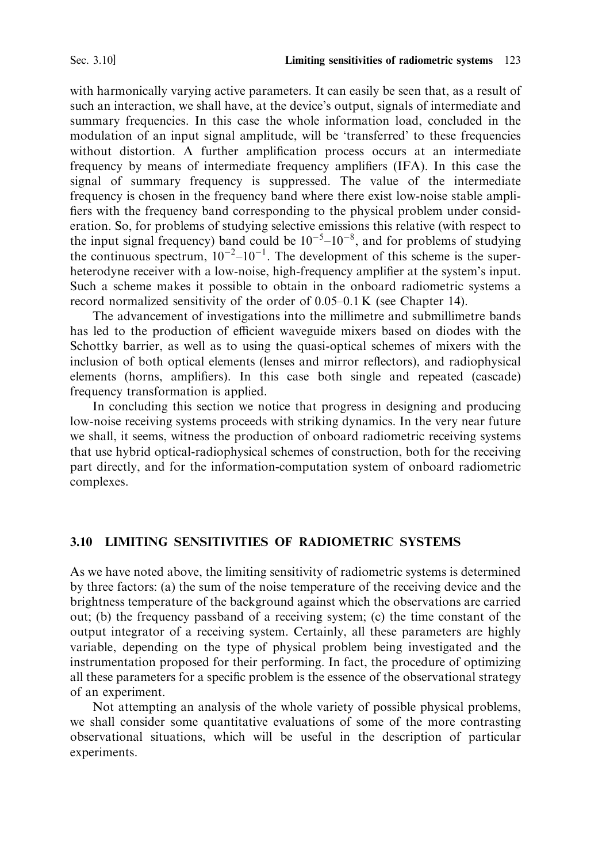with harmonically varying active parameters. It can easily be seen that, as a result of such an interaction, we shall have, at the device's output, signals of intermediate and summary frequencies. In this case the whole information load, concluded in the modulation of an input signal amplitude, will be 'transferred' to these frequencies without distortion. A further amplification process occurs at an intermediate frequency by means of intermediate frequency amplifiers (IFA). In this case the signal of summary frequency is suppressed. The value of the intermediate frequency is chosen in the frequency band where there exist low-noise stable amplifiers with the frequency band corresponding to the physical problem under consideration. So, for problems of studying selective emissions this relative (with respect to the input signal frequency) band could be  $10^{-5}$ – $10^{-8}$ , and for problems of studying<br>the continuous spectrum,  $10^{-2}$ – $10^{-1}$ . The development of this scheme is the superheterodyne receiver with a low-noise, high-frequency amplifier at the system's input. Such a scheme makes it possible to obtain in the onboard radiometric systems a record normalized sensitivity of the order of 0.05–0.1 K (see Chapter 14).

The advancement of investigations into the millimetre and submillimetre bands has led to the production of efficient waveguide mixers based on diodes with the Schottky barrier, as well as to using the quasi-optical schemes of mixers with the inclusion of both optical elements (lenses and mirror reflectors), and radiophysical elements (horns, amplifiers). In this case both single and repeated (cascade) frequency transformation is applied.

In concluding this section we notice that progress in designing and producing low-noise receiving systems proceeds with striking dynamics. In the very near future we shall, it seems, witness the production of onboard radiometric receiving systems that use hybrid optical-radiophysical schemes of construction, both for the receiving part directly, and for the information-computation system of onboard radiometric complexes.

#### LIMITING SENSITIVITIES OF RADIOMETRIC SYSTEMS 3.10

As we have noted above, the limiting sensitivity of radiometric systems is determined by three factors: (a) the sum of the noise temperature of the receiving device and the brightness temperature of the background against which the observations are carried out; (b) the frequency passband of a receiving system; (c) the time constant of the output integrator of a receiving system. Certainly, all these parameters are highly variable, depending on the type of physical problem being investigated and the instrumentation proposed for their performing. In fact, the procedure of optimizing all these parameters for a specific problem is the essence of the observational strategy of an experiment.

Not attempting an analysis of the whole variety of possible physical problems, we shall consider some quantitative evaluations of some of the more contrasting observational situations, which will be useful in the description of particular experiments.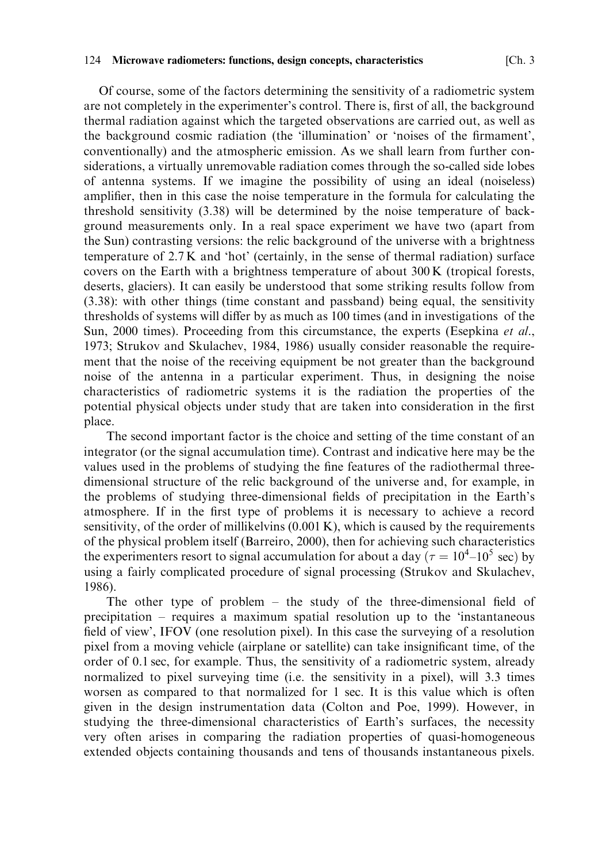### 124 Microwave radiometers: functions, design concepts, characteristics

Of course, some of the factors determining the sensitivity of a radiometric system are not completely in the experimenter's control. There is, first of all, the background thermal radiation against which the targeted observations are carried out, as well as the background cosmic radiation (the 'illumination' or 'noises of the firmament', conventionally) and the atmospheric emission. As we shall learn from further considerations, a virtually unremovable radiation comes through the so-called side lobes of antenna systems. If we imagine the possibility of using an ideal (noiseless) amplifier, then in this case the noise temperature in the formula for calculating the threshold sensitivity (3.38) will be determined by the noise temperature of background measurements only. In a real space experiment we have two (apart from the Sun) contrasting versions: the relic background of the universe with a brightness temperature of 2.7 K and 'hot' (certainly, in the sense of thermal radiation) surface covers on the Earth with a brightness temperature of about 300 K (tropical forests, deserts, glaciers). It can easily be understood that some striking results follow from (3.38): with other things (time constant and passband) being equal, the sensitivity thresholds of systems will differ by as much as 100 times (and in investigations of the Sun, 2000 times). Proceeding from this circumstance, the experts (Esepkina et al., 1973; Strukov and Skulachev, 1984, 1986) usually consider reasonable the requirement that the noise of the receiving equipment be not greater than the background noise of the antenna in a particular experiment. Thus, in designing the noise characteristics of radiometric systems it is the radiation the properties of the potential physical objects under study that are taken into consideration in the first place.

The second important factor is the choice and setting of the time constant of an integrator (or the signal accumulation time). Contrast and indicative here may be the values used in the problems of studying the fine features of the radiothermal threedimensional structure of the relic background of the universe and, for example, in the problems of studying three-dimensional fields of precipitation in the Earth's atmosphere. If in the first type of problems it is necessary to achieve a record sensitivity, of the order of millikelvins  $(0.001 \text{ K})$ , which is caused by the requirements of the physical problem itself (Barreiro, 2000), then for achieving such characteristics the experimenters resort to signal accumulation for about a day ( $\tau = 10^4 - 10^5$  sec) by using a fairly complicated procedure of signal processing (Strukov and Skulachev, 1986).

The other type of problem  $-$  the study of the three-dimensional field of precipitation – requires a maximum spatial resolution up to the 'instantaneous' field of view', IFOV (one resolution pixel). In this case the surveying of a resolution pixel from a moving vehicle (airplane or satellite) can take insignificant time, of the order of 0.1 sec, for example. Thus, the sensitivity of a radiometric system, already normalized to pixel surveying time (i.e. the sensitivity in a pixel), will 3.3 times worsen as compared to that normalized for 1 sec. It is this value which is often given in the design instrumentation data (Colton and Poe, 1999). However, in studying the three-dimensional characteristics of Earth's surfaces, the necessity very often arises in comparing the radiation properties of quasi-homogeneous extended objects containing thousands and tens of thousands instantaneous pixels.